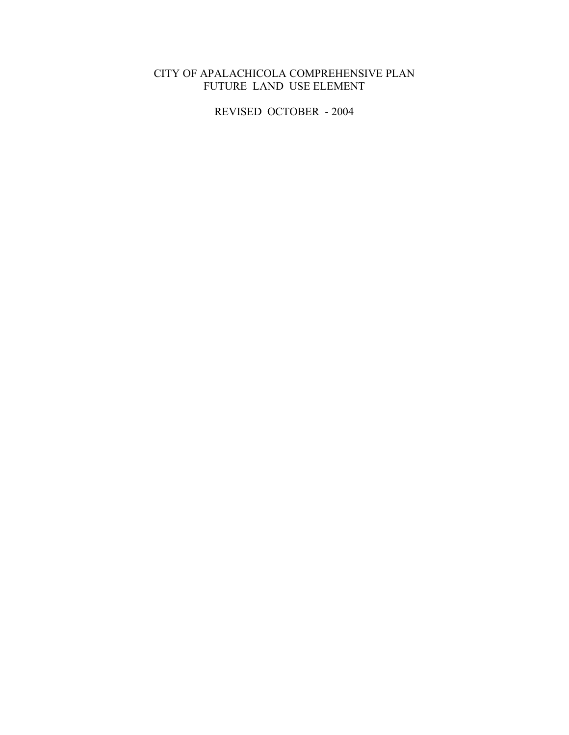### CITY OF APALACHICOLA COMPREHENSIVE PLAN FUTURE LAND USE ELEMENT

REVISED OCTOBER - 2004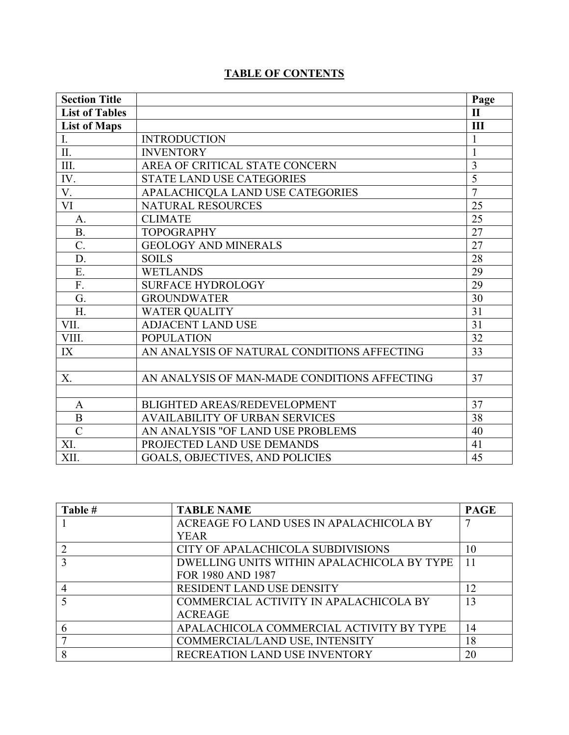# **TABLE OF CONTENTS**

| <b>Section Title</b>  |                                              | Page           |
|-----------------------|----------------------------------------------|----------------|
| <b>List of Tables</b> |                                              | $\mathbf{I}$   |
| <b>List of Maps</b>   |                                              | III            |
| $I_{\cdot}$           | <b>INTRODUCTION</b>                          | 1              |
| II.                   | <b>INVENTORY</b>                             | $\mathbf{1}$   |
| III.                  | AREA OF CRITICAL STATE CONCERN               | 3              |
| IV.                   | <b>STATE LAND USE CATEGORIES</b>             | $\overline{5}$ |
| $V_{\cdot}$           | APALACHICQLA LAND USE CATEGORIES             | $\overline{7}$ |
| VI                    | <b>NATURAL RESOURCES</b>                     | 25             |
| $A_{\cdot}$           | <b>CLIMATE</b>                               | 25             |
| B <sub>1</sub>        | <b>TOPOGRAPHY</b>                            | 27             |
| $\overline{C}$ .      | <b>GEOLOGY AND MINERALS</b>                  | 27             |
| D.                    | <b>SOILS</b>                                 | 28             |
| Ε.                    | <b>WETLANDS</b>                              | 29             |
| F.                    | <b>SURFACE HYDROLOGY</b>                     | 29             |
| G.                    | <b>GROUNDWATER</b>                           | 30             |
| H.                    | <b>WATER QUALITY</b>                         | 31             |
| VII.                  | <b>ADJACENT LAND USE</b>                     | 31             |
| VIII.                 | <b>POPULATION</b>                            | 32             |
| IX                    | AN ANALYSIS OF NATURAL CONDITIONS AFFECTING  | 33             |
|                       |                                              |                |
| $X_{\cdot}$           | AN ANALYSIS OF MAN-MADE CONDITIONS AFFECTING | 37             |
|                       |                                              |                |
| A                     | <b>BLIGHTED AREAS/REDEVELOPMENT</b>          | 37             |
| $\bf{B}$              | <b>AVAILABILITY OF URBAN SERVICES</b>        | 38             |
| $\overline{C}$        | AN ANALYSIS "OF LAND USE PROBLEMS            | 40             |
| XI.                   | PROJECTED LAND USE DEMANDS                   | 41             |
| XII.                  | <b>GOALS, OBJECTIVES, AND POLICIES</b>       | 45             |

| Table # | <b>TABLE NAME</b>                          | <b>PAGE</b> |
|---------|--------------------------------------------|-------------|
|         | ACREAGE FO LAND USES IN APALACHICOLA BY    |             |
|         | <b>YEAR</b>                                |             |
|         | CITY OF APALACHICOLA SUBDIVISIONS          | 10          |
|         | DWELLING UNITS WITHIN APALACHICOLA BY TYPE | 11          |
|         | FOR 1980 AND 1987                          |             |
|         | RESIDENT LAND USE DENSITY                  | 12          |
|         | COMMERCIAL ACTIVITY IN APALACHICOLA BY     | 13          |
|         | <b>ACREAGE</b>                             |             |
|         | APALACHICOLA COMMERCIAL ACTIVITY BY TYPE   | 14          |
|         | COMMERCIAL/LAND USE, INTENSITY             | 18          |
|         | RECREATION LAND USE INVENTORY              | 20          |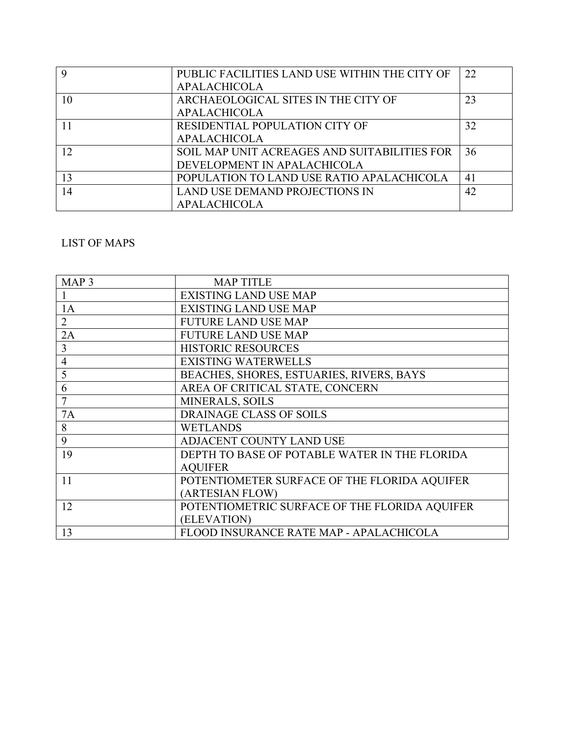| 9  | PUBLIC FACILITIES LAND USE WITHIN THE CITY OF | 22 |
|----|-----------------------------------------------|----|
|    | <b>APALACHICOLA</b>                           |    |
| 10 | ARCHAEOLOGICAL SITES IN THE CITY OF           | 23 |
|    | <b>APALACHICOLA</b>                           |    |
|    | RESIDENTIAL POPULATION CITY OF                | 32 |
|    | <b>APALACHICOLA</b>                           |    |
| 12 | SOIL MAP UNIT ACREAGES AND SUITABILITIES FOR  | 36 |
|    | DEVELOPMENT IN APALACHICOLA                   |    |
| 13 | POPULATION TO LAND USE RATIO APALACHICOLA     | 41 |
| 14 | LAND USE DEMAND PROJECTIONS IN                | 42 |
|    | <b>APALACHICOLA</b>                           |    |

# LIST OF MAPS

| MAP <sub>3</sub> | <b>MAP TITLE</b>                              |
|------------------|-----------------------------------------------|
|                  | <b>EXISTING LAND USE MAP</b>                  |
| 1A               | <b>EXISTING LAND USE MAP</b>                  |
| $\overline{2}$   | <b>FUTURE LAND USE MAP</b>                    |
| 2A               | <b>FUTURE LAND USE MAP</b>                    |
| 3                | <b>HISTORIC RESOURCES</b>                     |
| $\overline{4}$   | <b>EXISTING WATERWELLS</b>                    |
| 5                | BEACHES, SHORES, ESTUARIES, RIVERS, BAYS      |
| 6                | AREA OF CRITICAL STATE, CONCERN               |
| 7                | MINERALS, SOILS                               |
| 7A               | <b>DRAINAGE CLASS OF SOILS</b>                |
| 8                | <b>WETLANDS</b>                               |
| 9                | ADJACENT COUNTY LAND USE                      |
| 19               | DEPTH TO BASE OF POTABLE WATER IN THE FLORIDA |
|                  | <b>AOUIFER</b>                                |
| 11               | POTENTIOMETER SURFACE OF THE FLORIDA AQUIFER  |
|                  | (ARTESIAN FLOW)                               |
| 12               | POTENTIOMETRIC SURFACE OF THE FLORIDA AQUIFER |
|                  | (ELEVATION)                                   |
| 13               | FLOOD INSURANCE RATE MAP - APALACHICOLA       |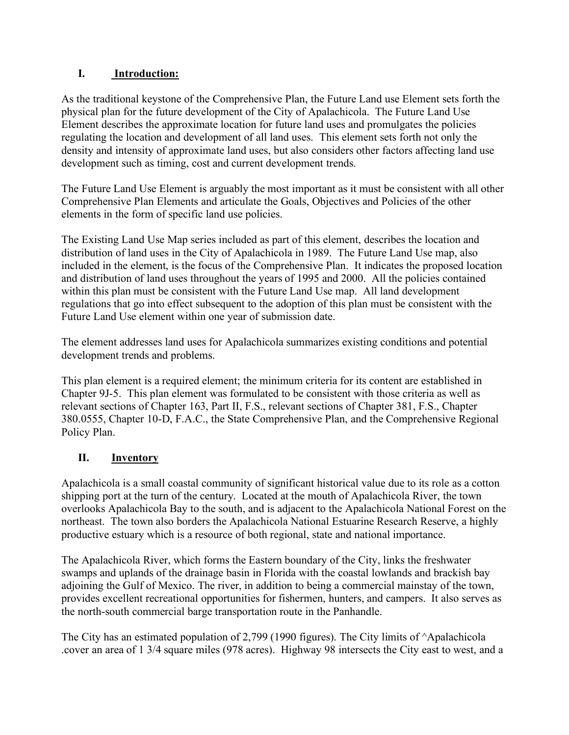# **I. Introduction:**

As the traditional keystone of the Comprehensive Plan, the Future Land use Element sets forth the physical plan for the future development of the City of Apalachicola. The Future Land Use Element describes the approximate location for future land uses and promulgates the policies regulating the location and development of all land uses. This element sets forth not only the density and intensity of approximate land uses, but also considers other factors affecting land use development such as timing, cost and current development trends.

The Future Land Use Element is arguably the most important as it must be consistent with all other Comprehensive Plan Elements and articulate the Goals, Objectives and Policies of the other elements in the form of specific land use policies.

The Existing Land Use Map series included as part of this element, describes the location and distribution of land uses in the City of Apalachicola in 1989. The Future Land Use map, also included in the element, is the focus of the Comprehensive Plan. It indicates the proposed location and distribution of land uses throughout the years of 1995 and 2000. All the policies contained within this plan must be consistent with the Future Land Use map. All land development regulations that go into effect subsequent to the adoption of this plan must be consistent with the Future Land Use element within one year of submission date.

The element addresses land uses for Apalachicola summarizes existing conditions and potential development trends and problems.

This plan element is a required element; the minimum criteria for its content are established in Chapter 9J-5. This plan element was formulated to be consistent with those criteria as well as relevant sections of Chapter 163, Part II, F.S., relevant sections of Chapter 381, F.S., Chapter 380.0555, Chapter 10-D, F.A.C., the State Comprehensive Plan, and the Comprehensive Regional Policy Plan.

# **II. Inventory**

Apalachicola is a small coastal community of significant historical value due to its role as a cotton shipping port at the turn of the century. Located at the mouth of Apalachicola River, the town overlooks Apalachicola Bay to the south, and is adjacent to the Apalachicola National Forest on the northeast. The town also borders the Apalachicola National Estuarine Research Reserve, a highly productive estuary which is a resource of both regional, state and national importance.

The Apalachicola River, which forms the Eastern boundary of the City, links the freshwater swamps and uplands of the drainage basin in Florida with the coastal lowlands and brackish bay adjoining the Gulf of Mexico. The river, in addition to being a commercial mainstay of the town, provides excellent recreational opportunities for fishermen, hunters, and campers. It also serves as the north-south commercial barge transportation route in the Panhandle.

The City has an estimated population of 2,799 (1990 figures). The City limits of ^Apalachicola .cover an area of 1 3/4 square miles (978 acres). Highway 98 intersects the City east to west, and a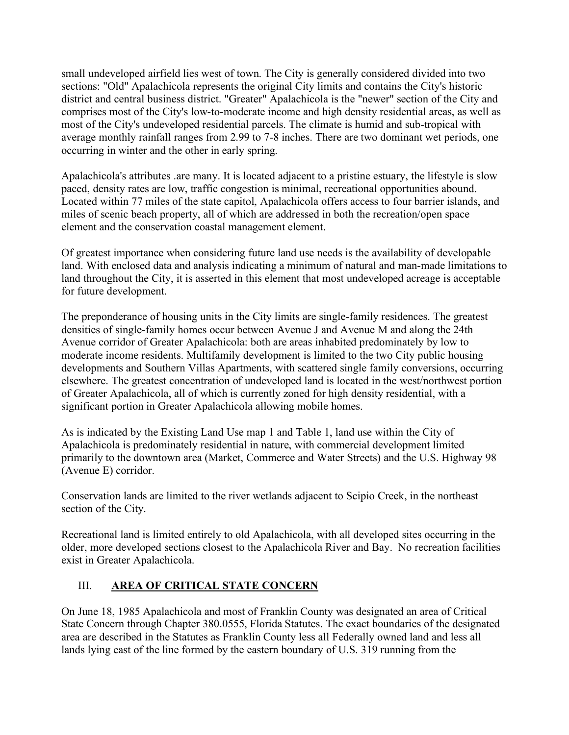small undeveloped airfield lies west of town. The City is generally considered divided into two sections: "Old" Apalachicola represents the original City limits and contains the City's historic district and central business district. "Greater" Apalachicola is the "newer" section of the City and comprises most of the City's low-to-moderate income and high density residential areas, as well as most of the City's undeveloped residential parcels. The climate is humid and sub-tropical with average monthly rainfall ranges from 2.99 to 7-8 inches. There are two dominant wet periods, one occurring in winter and the other in early spring.

Apalachicola's attributes .are many. It is located adjacent to a pristine estuary, the lifestyle is slow paced, density rates are low, traffic congestion is minimal, recreational opportunities abound. Located within 77 miles of the state capitol, Apalachicola offers access to four barrier islands, and miles of scenic beach property, all of which are addressed in both the recreation/open space element and the conservation coastal management element.

Of greatest importance when considering future land use needs is the availability of developable land. With enclosed data and analysis indicating a minimum of natural and man-made limitations to land throughout the City, it is asserted in this element that most undeveloped acreage is acceptable for future development.

The preponderance of housing units in the City limits are single-family residences. The greatest densities of single-family homes occur between Avenue J and Avenue M and along the 24th Avenue corridor of Greater Apalachicola: both are areas inhabited predominately by low to moderate income residents. Multifamily development is limited to the two City public housing developments and Southern Villas Apartments, with scattered single family conversions, occurring elsewhere. The greatest concentration of undeveloped land is located in the west/northwest portion of Greater Apalachicola, all of which is currently zoned for high density residential, with a significant portion in Greater Apalachicola allowing mobile homes.

As is indicated by the Existing Land Use map 1 and Table 1, land use within the City of Apalachicola is predominately residential in nature, with commercial development limited primarily to the downtown area (Market, Commerce and Water Streets) and the U.S. Highway 98 (Avenue E) corridor.

Conservation lands are limited to the river wetlands adjacent to Scipio Creek, in the northeast section of the City.

Recreational land is limited entirely to old Apalachicola, with all developed sites occurring in the older, more developed sections closest to the Apalachicola River and Bay. No recreation facilities exist in Greater Apalachicola.

# III. **AREA OF CRITICAL STATE CONCERN**

On June 18, 1985 Apalachicola and most of Franklin County was designated an area of Critical State Concern through Chapter 380.0555, Florida Statutes. The exact boundaries of the designated area are described in the Statutes as Franklin County less all Federally owned land and less all lands lying east of the line formed by the eastern boundary of U.S. 319 running from the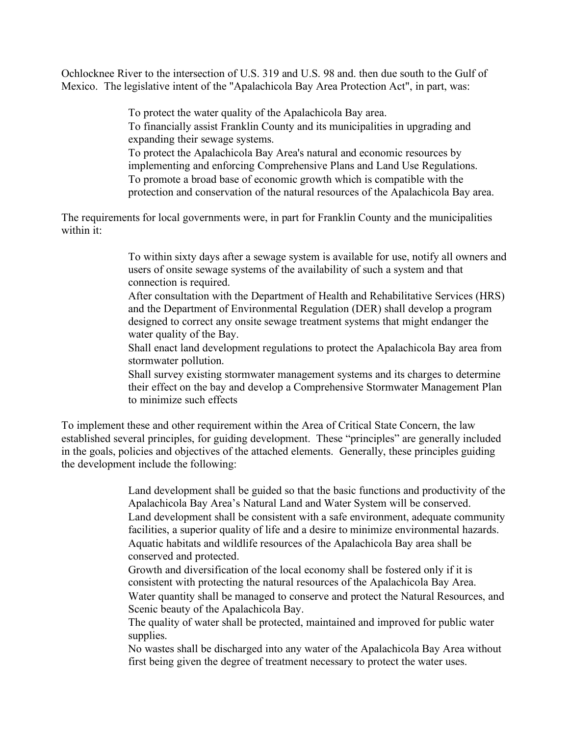Ochlocknee River to the intersection of U.S. 319 and U.S. 98 and. then due south to the Gulf of Mexico. The legislative intent of the "Apalachicola Bay Area Protection Act", in part, was:

To protect the water quality of the Apalachicola Bay area.

 To financially assist Franklin County and its municipalities in upgrading and expanding their sewage systems.

 To protect the Apalachicola Bay Area's natural and economic resources by implementing and enforcing Comprehensive Plans and Land Use Regulations. To promote a broad base of economic growth which is compatible with the protection and conservation of the natural resources of the Apalachicola Bay area.

The requirements for local governments were, in part for Franklin County and the municipalities within it:

> To within sixty days after a sewage system is available for use, notify all owners and users of onsite sewage systems of the availability of such a system and that connection is required.

> After consultation with the Department of Health and Rehabilitative Services (HRS) and the Department of Environmental Regulation (DER) shall develop a program designed to correct any onsite sewage treatment systems that might endanger the water quality of the Bay.

> Shall enact land development regulations to protect the Apalachicola Bay area from stormwater pollution.

> Shall survey existing stormwater management systems and its charges to determine their effect on the bay and develop a Comprehensive Stormwater Management Plan to minimize such effects

To implement these and other requirement within the Area of Critical State Concern, the law established several principles, for guiding development. These "principles" are generally included in the goals, policies and objectives of the attached elements. Generally, these principles guiding the development include the following:

> Land development shall be guided so that the basic functions and productivity of the Apalachicola Bay Area's Natural Land and Water System will be conserved. Land development shall be consistent with a safe environment, adequate community facilities, a superior quality of life and a desire to minimize environmental hazards. Aquatic habitats and wildlife resources of the Apalachicola Bay area shall be conserved and protected.

> Growth and diversification of the local economy shall be fostered only if it is consistent with protecting the natural resources of the Apalachicola Bay Area. Water quantity shall be managed to conserve and protect the Natural Resources, and Scenic beauty of the Apalachicola Bay.

 The quality of water shall be protected, maintained and improved for public water supplies.

 No wastes shall be discharged into any water of the Apalachicola Bay Area without first being given the degree of treatment necessary to protect the water uses.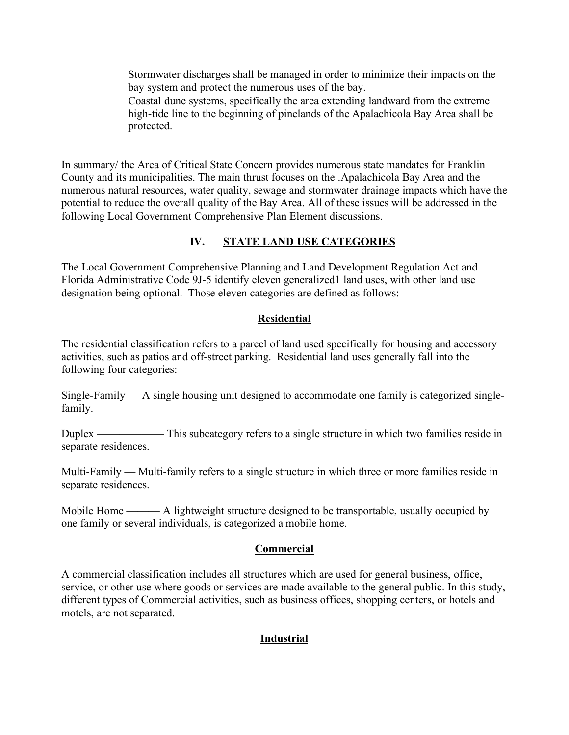Stormwater discharges shall be managed in order to minimize their impacts on the bay system and protect the numerous uses of the bay.

 Coastal dune systems, specifically the area extending landward from the extreme high-tide line to the beginning of pinelands of the Apalachicola Bay Area shall be protected.

In summary/ the Area of Critical State Concern provides numerous state mandates for Franklin County and its municipalities. The main thrust focuses on the .Apalachicola Bay Area and the numerous natural resources, water quality, sewage and stormwater drainage impacts which have the potential to reduce the overall quality of the Bay Area. All of these issues will be addressed in the following Local Government Comprehensive Plan Element discussions.

### **IV. STATE LAND USE CATEGORIES**

The Local Government Comprehensive Planning and Land Development Regulation Act and Florida Administrative Code 9J-5 identify eleven generalized1 land uses, with other land use designation being optional. Those eleven categories are defined as follows:

### **Residential**

The residential classification refers to a parcel of land used specifically for housing and accessory activities, such as patios and off-street parking. Residential land uses generally fall into the following four categories:

Single-Family  $-A$  single housing unit designed to accommodate one family is categorized singlefamily.

Duplex —————— This subcategory refers to a single structure in which two families reside in separate residences.

Multi-Family — Multi-family refers to a single structure in which three or more families reside in separate residences.

Mobile Home ——— A lightweight structure designed to be transportable, usually occupied by one family or several individuals, is categorized a mobile home.

### **Commercial**

A commercial classification includes all structures which are used for general business, office, service, or other use where goods or services are made available to the general public. In this study, different types of Commercial activities, such as business offices, shopping centers, or hotels and motels, are not separated.

### **Industrial**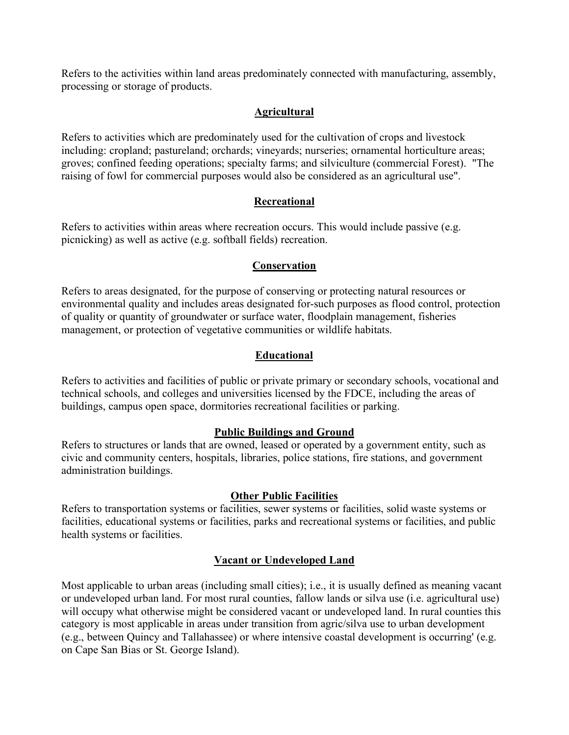Refers to the activities within land areas predominately connected with manufacturing, assembly, processing or storage of products.

### **Agricultural**

Refers to activities which are predominately used for the cultivation of crops and livestock including: cropland; pastureland; orchards; vineyards; nurseries; ornamental horticulture areas; groves; confined feeding operations; specialty farms; and silviculture (commercial Forest). "The raising of fowl for commercial purposes would also be considered as an agricultural use".

### **Recreational**

Refers to activities within areas where recreation occurs. This would include passive (e.g. picnicking) as well as active (e.g. softball fields) recreation.

### **Conservation**

Refers to areas designated, for the purpose of conserving or protecting natural resources or environmental quality and includes areas designated for-such purposes as flood control, protection of quality or quantity of groundwater or surface water, floodplain management, fisheries management, or protection of vegetative communities or wildlife habitats.

### **Educational**

Refers to activities and facilities of public or private primary or secondary schools, vocational and technical schools, and colleges and universities licensed by the FDCE, including the areas of buildings, campus open space, dormitories recreational facilities or parking.

### **Public Buildings and Ground**

Refers to structures or lands that are owned, leased or operated by a government entity, such as civic and community centers, hospitals, libraries, police stations, fire stations, and government administration buildings.

### **Other Public Facilities**

Refers to transportation systems or facilities, sewer systems or facilities, solid waste systems or facilities, educational systems or facilities, parks and recreational systems or facilities, and public health systems or facilities.

# **Vacant or Undeveloped Land**

Most applicable to urban areas (including small cities); i.e., it is usually defined as meaning vacant or undeveloped urban land. For most rural counties, fallow lands or silva use (i.e. agricultural use) will occupy what otherwise might be considered vacant or undeveloped land. In rural counties this category is most applicable in areas under transition from agric/silva use to urban development (e.g., between Quincy and Tallahassee) or where intensive coastal development is occurring' (e.g. on Cape San Bias or St. George Island).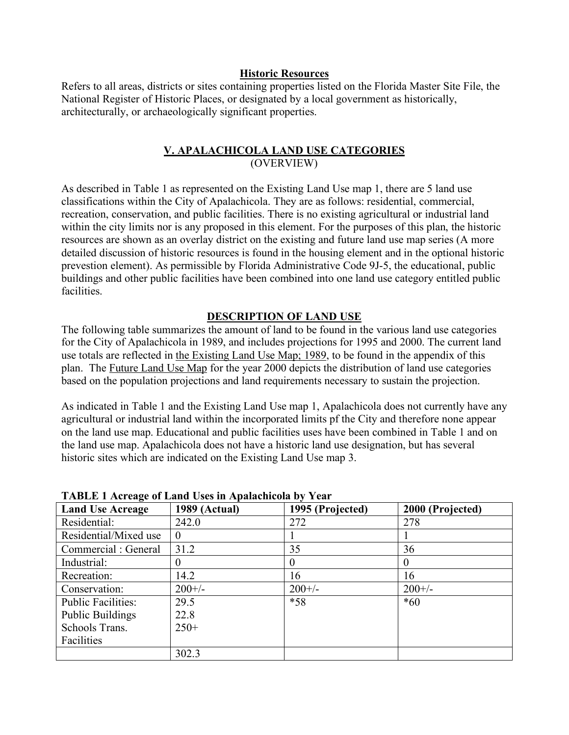#### **Historic Resources**

Refers to all areas, districts or sites containing properties listed on the Florida Master Site File, the National Register of Historic Places, or designated by a local government as historically, architecturally, or archaeologically significant properties.

### **V. APALACHICOLA LAND USE CATEGORIES** (OVERVIEW)

As described in Table 1 as represented on the Existing Land Use map 1, there are 5 land use classifications within the City of Apalachicola. They are as follows: residential, commercial, recreation, conservation, and public facilities. There is no existing agricultural or industrial land within the city limits nor is any proposed in this element. For the purposes of this plan, the historic resources are shown as an overlay district on the existing and future land use map series (A more detailed discussion of historic resources is found in the housing element and in the optional historic prevestion element). As permissible by Florida Administrative Code 9J-5, the educational, public buildings and other public facilities have been combined into one land use category entitled public facilities.

### **DESCRIPTION OF LAND USE**

The following table summarizes the amount of land to be found in the various land use categories for the City of Apalachicola in 1989, and includes projections for 1995 and 2000. The current land use totals are reflected in the Existing Land Use Map; 1989, to be found in the appendix of this plan. The Future Land Use Map for the year 2000 depicts the distribution of land use categories based on the population projections and land requirements necessary to sustain the projection.

As indicated in Table 1 and the Existing Land Use map 1, Apalachicola does not currently have any agricultural or industrial land within the incorporated limits pf the City and therefore none appear on the land use map. Educational and public facilities uses have been combined in Table 1 and on the land use map. Apalachicola does not have a historic land use designation, but has several historic sites which are indicated on the Existing Land Use map 3.

| тарый тастеаде от цани обез не аратаспісота буттеат |                      |                  |                  |
|-----------------------------------------------------|----------------------|------------------|------------------|
| <b>Land Use Acreage</b>                             | <b>1989 (Actual)</b> | 1995 (Projected) | 2000 (Projected) |
| Residential:                                        | 242.0                | 272              | 278              |
| Residential/Mixed use                               | $\theta$             |                  |                  |
| Commercial : General                                | 31.2                 | 35               | 36               |
| Industrial:                                         | 0                    | $\theta$         | $\theta$         |
| Recreation:                                         | 14.2                 | 16               | 16               |
| Conservation:                                       | $200+/-$             | $200+/-$         | $200+/-$         |
| <b>Public Facilities:</b>                           | 29.5                 | $*58$            | $*60$            |
| <b>Public Buildings</b>                             | 22.8                 |                  |                  |
| Schools Trans.                                      | $250+$               |                  |                  |
| Facilities                                          |                      |                  |                  |
|                                                     | 302.3                |                  |                  |

**TABLE 1 Acreage of Land Uses in Apalachicola by Year**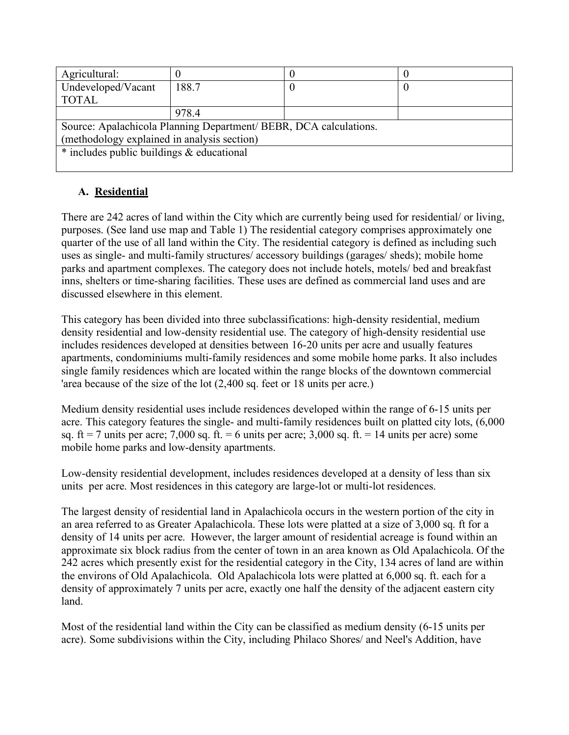| Agricultural:                                                     |       |  |  |  |
|-------------------------------------------------------------------|-------|--|--|--|
| Undeveloped/Vacant                                                | 188.7 |  |  |  |
| <b>TOTAL</b>                                                      |       |  |  |  |
|                                                                   | 978.4 |  |  |  |
| Source: Apalachicola Planning Department/ BEBR, DCA calculations. |       |  |  |  |
| (methodology explained in analysis section)                       |       |  |  |  |
| * includes public buildings & educational                         |       |  |  |  |
|                                                                   |       |  |  |  |

# **A. Residential**

There are 242 acres of land within the City which are currently being used for residential/ or living, purposes. (See land use map and Table 1) The residential category comprises approximately one quarter of the use of all land within the City. The residential category is defined as including such uses as single- and multi-family structures/ accessory buildings (garages/ sheds); mobile home parks and apartment complexes. The category does not include hotels, motels/ bed and breakfast inns, shelters or time-sharing facilities. These uses are defined as commercial land uses and are discussed elsewhere in this element.

This category has been divided into three subclassifications: high-density residential, medium density residential and low-density residential use. The category of high-density residential use includes residences developed at densities between 16-20 units per acre and usually features apartments, condominiums multi-family residences and some mobile home parks. It also includes single family residences which are located within the range blocks of the downtown commercial 'area because of the size of the lot (2,400 sq. feet or 18 units per acre.)

Medium density residential uses include residences developed within the range of 6-15 units per acre. This category features the single- and multi-family residences built on platted city lots, (6,000 sq. ft = 7 units per acre; 7,000 sq. ft. = 6 units per acre; 3,000 sq. ft. = 14 units per acre) some mobile home parks and low-density apartments.

Low-density residential development, includes residences developed at a density of less than six units per acre. Most residences in this category are large-lot or multi-lot residences.

The largest density of residential land in Apalachicola occurs in the western portion of the city in an area referred to as Greater Apalachicola. These lots were platted at a size of 3,000 sq. ft for a density of 14 units per acre. However, the larger amount of residential acreage is found within an approximate six block radius from the center of town in an area known as Old Apalachicola. Of the 242 acres which presently exist for the residential category in the City, 134 acres of land are within the environs of Old Apalachicola. Old Apalachicola lots were platted at 6,000 sq. ft. each for a density of approximately 7 units per acre, exactly one half the density of the adjacent eastern city land.

Most of the residential land within the City can be classified as medium density (6-15 units per acre). Some subdivisions within the City, including Philaco Shores/ and Neel's Addition, have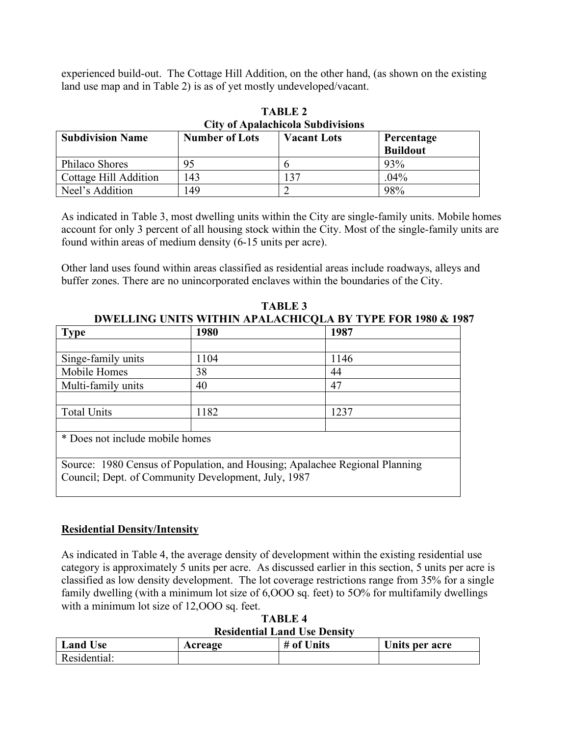experienced build-out. The Cottage Hill Addition, on the other hand, (as shown on the existing land use map and in Table 2) is as of yet mostly undeveloped/vacant.

| <b>City of Apalachicola Subdivisions</b> |                       |                    |                 |
|------------------------------------------|-----------------------|--------------------|-----------------|
| <b>Subdivision Name</b>                  | <b>Number of Lots</b> | <b>Vacant Lots</b> | Percentage      |
|                                          |                       |                    | <b>Buildout</b> |
| Philaco Shores                           | 95                    |                    | 93%             |
| Cottage Hill Addition                    | 143                   | 137                | .04%            |
| Neel's Addition                          | 149                   |                    | 98%             |

**TABLE 2 City of Apalachicola Subdivisions**

As indicated in Table 3, most dwelling units within the City are single-family units. Mobile homes account for only 3 percent of all housing stock within the City. Most of the single-family units are found within areas of medium density (6-15 units per acre).

Other land uses found within areas classified as residential areas include roadways, alleys and buffer zones. There are no unincorporated enclaves within the boundaries of the City.

| <u>D WELLING CIVILD WITHIN IN HEIR CHRYCEN DT TITE FOR 1700 &amp; 17</u> |      |                                                                             |  |  |
|--------------------------------------------------------------------------|------|-----------------------------------------------------------------------------|--|--|
| <b>Type</b>                                                              | 1980 | 1987                                                                        |  |  |
|                                                                          |      |                                                                             |  |  |
| Singe-family units                                                       | 1104 | 1146                                                                        |  |  |
| Mobile Homes                                                             | 38   | 44                                                                          |  |  |
| Multi-family units                                                       | 40   | 47                                                                          |  |  |
|                                                                          |      |                                                                             |  |  |
| <b>Total Units</b>                                                       | 1182 | 1237                                                                        |  |  |
|                                                                          |      |                                                                             |  |  |
| * Does not include mobile homes                                          |      |                                                                             |  |  |
|                                                                          |      |                                                                             |  |  |
|                                                                          |      | Source: 1980 Census of Population, and Housing; Apalachee Regional Planning |  |  |
| Council; Dept. of Community Development, July, 1987                      |      |                                                                             |  |  |

**TABLE 3 DWELLING UNITS WITHIN APALACHICQLA BY TYPE FOR 1980 & 1987**

### **Residential Density/Intensity**

As indicated in Table 4, the average density of development within the existing residential use category is approximately 5 units per acre. As discussed earlier in this section, 5 units per acre is classified as low density development. The lot coverage restrictions range from 35% for a single family dwelling (with a minimum lot size of 6,OOO sq. feet) to 5O% for multifamily dwellings with a minimum lot size of 12,OOO sq. feet.

**TABLE 4 Residential Land Use Density**

| <b>Land Use</b> | Acreage | # of Units | Units per acre |
|-----------------|---------|------------|----------------|
| Residential:    |         |            |                |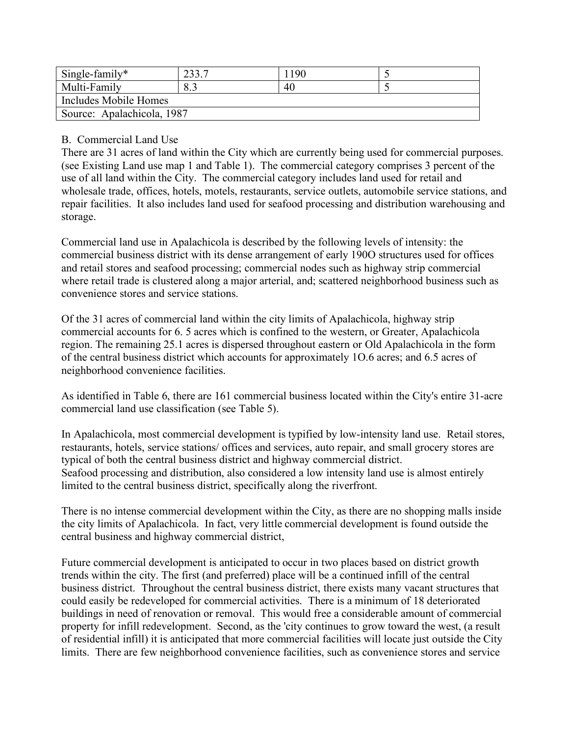| Single-family*             | 233.7 | 90 |  |  |
|----------------------------|-------|----|--|--|
| Multi-Family               |       | 40 |  |  |
| Includes Mobile Homes      |       |    |  |  |
| Source: Apalachicola, 1987 |       |    |  |  |

B. Commercial Land Use

There are 31 acres of land within the City which are currently being used for commercial purposes. (see Existing Land use map 1 and Table 1). The commercial category comprises 3 percent of the use of all land within the City. The commercial category includes land used for retail and wholesale trade, offices, hotels, motels, restaurants, service outlets, automobile service stations, and repair facilities. It also includes land used for seafood processing and distribution warehousing and storage.

Commercial land use in Apalachicola is described by the following levels of intensity: the commercial business district with its dense arrangement of early 190O structures used for offices and retail stores and seafood processing; commercial nodes such as highway strip commercial where retail trade is clustered along a major arterial, and; scattered neighborhood business such as convenience stores and service stations.

Of the 31 acres of commercial land within the city limits of Apalachicola, highway strip commercial accounts for 6. 5 acres which is confined to the western, or Greater, Apalachicola region. The remaining 25.1 acres is dispersed throughout eastern or Old Apalachicola in the form of the central business district which accounts for approximately 1O.6 acres; and 6.5 acres of neighborhood convenience facilities.

As identified in Table 6, there are 161 commercial business located within the City's entire 31-acre commercial land use classification (see Table 5).

In Apalachicola, most commercial development is typified by low-intensity land use. Retail stores, restaurants, hotels, service stations/ offices and services, auto repair, and small grocery stores are typical of both the central business district and highway commercial district. Seafood processing and distribution, also considered a low intensity land use is almost entirely limited to the central business district, specifically along the riverfront.

There is no intense commercial development within the City, as there are no shopping malls inside the city limits of Apalachicola. In fact, very little commercial development is found outside the central business and highway commercial district,

Future commercial development is anticipated to occur in two places based on district growth trends within the city. The first (and preferred) place will be a continued infill of the central business district. Throughout the central business district, there exists many vacant structures that could easily be redeveloped for commercial activities. There is a minimum of 18 deteriorated buildings in need of renovation or removal. This would free a considerable amount of commercial property for infill redevelopment. Second, as the 'city continues to grow toward the west, (a result of residential infill) it is anticipated that more commercial facilities will locate just outside the City limits. There are few neighborhood convenience facilities, such as convenience stores and service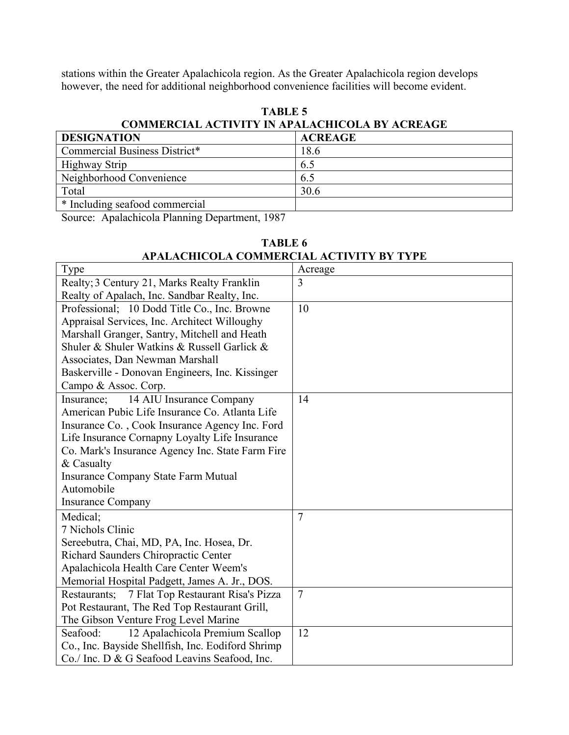stations within the Greater Apalachicola region. As the Greater Apalachicola region develops however, the need for additional neighborhood convenience facilities will become evident.

**TABLE 5 COMMERCIAL ACTIVITY IN APALACHICOLA BY ACREAGE**

| <b>DESIGNATION</b>             | <b>ACREAGE</b> |
|--------------------------------|----------------|
| Commercial Business District*  | 18.6           |
| Highway Strip                  | 6.5            |
| Neighborhood Convenience       | 6.5            |
| Total                          | 30.6           |
| * Including seafood commercial |                |

Source: Apalachicola Planning Department, 1987

#### **TABLE 6 APALACHICOLA COMMERCIAL ACTIVITY BY TYPE**

| <b>Type</b>                                       | Acreage        |
|---------------------------------------------------|----------------|
| Realty; 3 Century 21, Marks Realty Franklin       | 3              |
| Realty of Apalach, Inc. Sandbar Realty, Inc.      |                |
| Professional; 10 Dodd Title Co., Inc. Browne      | 10             |
| Appraisal Services, Inc. Architect Willoughy      |                |
| Marshall Granger, Santry, Mitchell and Heath      |                |
| Shuler & Shuler Watkins & Russell Garlick &       |                |
| Associates, Dan Newman Marshall                   |                |
| Baskerville - Donovan Engineers, Inc. Kissinger   |                |
| Campo & Assoc. Corp.                              |                |
| 14 AIU Insurance Company<br>Insurance;            | 14             |
| American Pubic Life Insurance Co. Atlanta Life    |                |
| Insurance Co., Cook Insurance Agency Inc. Ford    |                |
| Life Insurance Cornapny Loyalty Life Insurance    |                |
| Co. Mark's Insurance Agency Inc. State Farm Fire  |                |
| & Casualty                                        |                |
| <b>Insurance Company State Farm Mutual</b>        |                |
| Automobile                                        |                |
| <b>Insurance Company</b>                          |                |
| Medical;                                          | $\overline{7}$ |
| 7 Nichols Clinic                                  |                |
| Sereebutra, Chai, MD, PA, Inc. Hosea, Dr.         |                |
| Richard Saunders Chiropractic Center              |                |
| Apalachicola Health Care Center Weem's            |                |
| Memorial Hospital Padgett, James A. Jr., DOS.     |                |
| Restaurants; 7 Flat Top Restaurant Risa's Pizza   | $\overline{7}$ |
| Pot Restaurant, The Red Top Restaurant Grill,     |                |
| The Gibson Venture Frog Level Marine              |                |
| Seafood:<br>12 Apalachicola Premium Scallop       | 12             |
| Co., Inc. Bayside Shellfish, Inc. Eodiford Shrimp |                |
| Co./ Inc. D & G Seafood Leavins Seafood, Inc.     |                |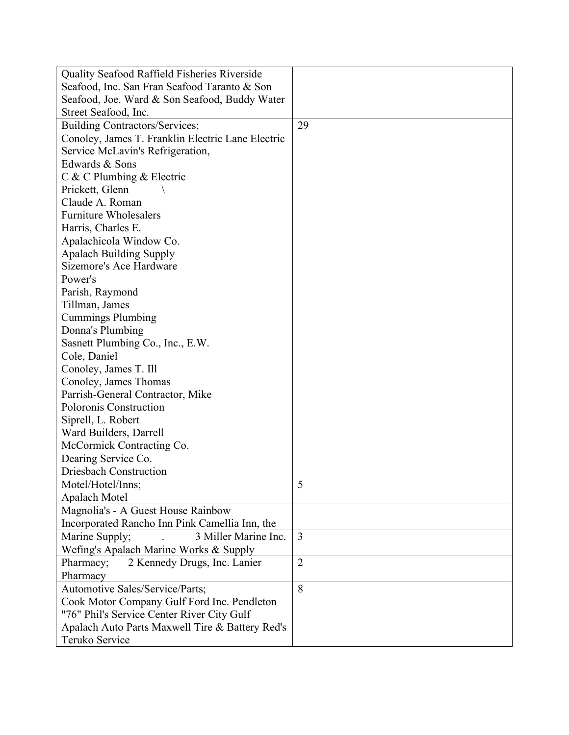| Quality Seafood Raffield Fisheries Riverside      |                |
|---------------------------------------------------|----------------|
| Seafood, Inc. San Fran Seafood Taranto & Son      |                |
| Seafood, Joe. Ward & Son Seafood, Buddy Water     |                |
| Street Seafood, Inc.                              |                |
|                                                   | 29             |
| <b>Building Contractors/Services;</b>             |                |
| Conoley, James T. Franklin Electric Lane Electric |                |
| Service McLavin's Refrigeration,                  |                |
| Edwards & Sons                                    |                |
| $C & C$ Plumbing $& \triangle$ Electric           |                |
| Prickett, Glenn                                   |                |
| Claude A. Roman                                   |                |
| <b>Furniture Wholesalers</b>                      |                |
| Harris, Charles E.                                |                |
| Apalachicola Window Co.                           |                |
| <b>Apalach Building Supply</b>                    |                |
| Sizemore's Ace Hardware                           |                |
| Power's                                           |                |
| Parish, Raymond                                   |                |
| Tillman, James                                    |                |
| <b>Cummings Plumbing</b>                          |                |
| Donna's Plumbing                                  |                |
| Sasnett Plumbing Co., Inc., E.W.                  |                |
| Cole, Daniel                                      |                |
| Conoley, James T. Ill                             |                |
| Conoley, James Thomas                             |                |
| Parrish-General Contractor, Mike                  |                |
| Poloronis Construction                            |                |
| Siprell, L. Robert                                |                |
| Ward Builders, Darrell                            |                |
| McCormick Contracting Co.                         |                |
| Dearing Service Co.                               |                |
| <b>Driesbach Construction</b>                     |                |
| Motel/Hotel/Inns;                                 |                |
| Apalach Motel                                     | Ć              |
| Magnolia's - A Guest House Rainbow                |                |
| Incorporated Rancho Inn Pink Camellia Inn, the    |                |
| 3 Miller Marine Inc.                              | $\overline{3}$ |
| Marine Supply;                                    |                |
| Wefing's Apalach Marine Works & Supply            |                |
| 2 Kennedy Drugs, Inc. Lanier<br>Pharmacy;         | $\overline{2}$ |
| Pharmacy                                          |                |
| <b>Automotive Sales/Service/Parts;</b>            | 8              |
| Cook Motor Company Gulf Ford Inc. Pendleton       |                |
| "76" Phil's Service Center River City Gulf        |                |
| Apalach Auto Parts Maxwell Tire & Battery Red's   |                |
| Teruko Service                                    |                |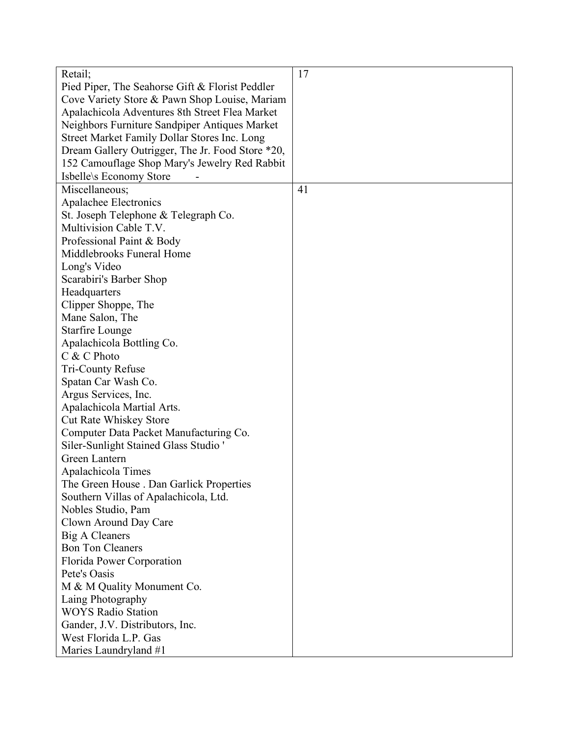| Retail;                                             | 17 |
|-----------------------------------------------------|----|
| Pied Piper, The Seahorse Gift & Florist Peddler     |    |
| Cove Variety Store & Pawn Shop Louise, Mariam       |    |
| Apalachicola Adventures 8th Street Flea Market      |    |
| Neighbors Furniture Sandpiper Antiques Market       |    |
| <b>Street Market Family Dollar Stores Inc. Long</b> |    |
| Dream Gallery Outrigger, The Jr. Food Store *20,    |    |
| 152 Camouflage Shop Mary's Jewelry Red Rabbit       |    |
| Isbelle\s Economy Store                             |    |
| Miscellaneous;                                      | 41 |
| <b>Apalachee Electronics</b>                        |    |
| St. Joseph Telephone & Telegraph Co.                |    |
| Multivision Cable T.V.                              |    |
| Professional Paint & Body                           |    |
| Middlebrooks Funeral Home                           |    |
| Long's Video                                        |    |
| Scarabiri's Barber Shop                             |    |
| Headquarters                                        |    |
| Clipper Shoppe, The                                 |    |
| Mane Salon, The                                     |    |
| <b>Starfire Lounge</b>                              |    |
| Apalachicola Bottling Co.                           |    |
| C & C Photo                                         |    |
| <b>Tri-County Refuse</b>                            |    |
| Spatan Car Wash Co.                                 |    |
| Argus Services, Inc.                                |    |
| Apalachicola Martial Arts.                          |    |
| <b>Cut Rate Whiskey Store</b>                       |    |
| Computer Data Packet Manufacturing Co.              |    |
| Siler-Sunlight Stained Glass Studio '               |    |
| Green Lantern                                       |    |
| Apalachicola Times                                  |    |
| The Green House . Dan Garlick Properties            |    |
| Southern Villas of Apalachicola, Ltd.               |    |
| Nobles Studio, Pam                                  |    |
| Clown Around Day Care                               |    |
| <b>Big A Cleaners</b>                               |    |
| <b>Bon Ton Cleaners</b>                             |    |
| Florida Power Corporation                           |    |
| Pete's Oasis                                        |    |
| M & M Quality Monument Co.                          |    |
| Laing Photography                                   |    |
| <b>WOYS Radio Station</b>                           |    |
| Gander, J.V. Distributors, Inc.                     |    |
| West Florida L.P. Gas                               |    |
| Maries Laundryland #1                               |    |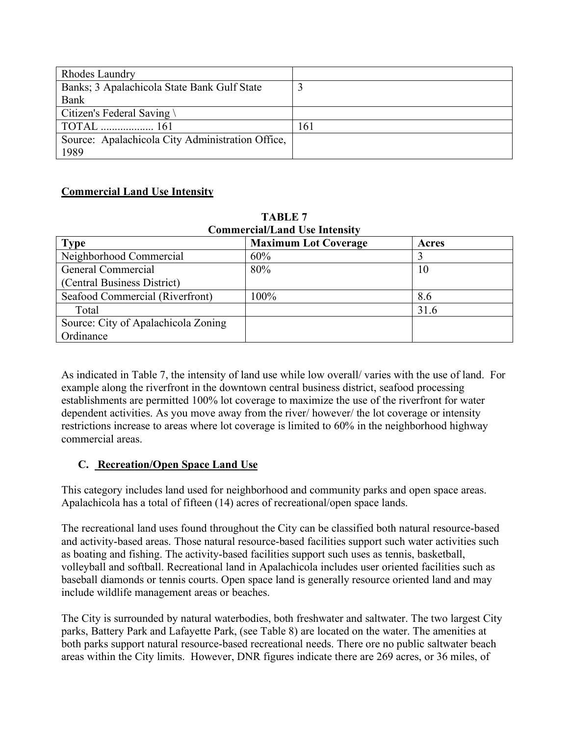| Rhodes Laundry                                   |     |
|--------------------------------------------------|-----|
| Banks; 3 Apalachicola State Bank Gulf State      |     |
| Bank                                             |     |
| Citizen's Federal Saving                         |     |
| <b>TOTAL</b> 161                                 | 161 |
| Source: Apalachicola City Administration Office, |     |
| 1989                                             |     |

### **Commercial Land Use Intensity**

| <b>Commercial/Land Use Intensity</b> |                             |       |
|--------------------------------------|-----------------------------|-------|
| <b>Type</b>                          | <b>Maximum Lot Coverage</b> | Acres |
| Neighborhood Commercial              | 60%                         |       |
| General Commercial                   | 80%                         | 10    |
| (Central Business District)          |                             |       |
| Seafood Commercial (Riverfront)      | 100%                        | 8.6   |
| Total                                |                             | 31.6  |
| Source: City of Apalachicola Zoning  |                             |       |
| Ordinance                            |                             |       |

**TABLE 7**

As indicated in Table 7, the intensity of land use while low overall/ varies with the use of land. For example along the riverfront in the downtown central business district, seafood processing establishments are permitted 100% lot coverage to maximize the use of the riverfront for water dependent activities. As you move away from the river/ however/ the lot coverage or intensity restrictions increase to areas where lot coverage is limited to 60% in the neighborhood highway commercial areas.

# **C. Recreation/Open Space Land Use**

This category includes land used for neighborhood and community parks and open space areas. Apalachicola has a total of fifteen (14) acres of recreational/open space lands.

The recreational land uses found throughout the City can be classified both natural resource-based and activity-based areas. Those natural resource-based facilities support such water activities such as boating and fishing. The activity-based facilities support such uses as tennis, basketball, volleyball and softball. Recreational land in Apalachicola includes user oriented facilities such as baseball diamonds or tennis courts. Open space land is generally resource oriented land and may include wildlife management areas or beaches.

The City is surrounded by natural waterbodies, both freshwater and saltwater. The two largest City parks, Battery Park and Lafayette Park, (see Table 8) are located on the water. The amenities at both parks support natural resource-based recreational needs. There ore no public saltwater beach areas within the City limits. However, DNR figures indicate there are 269 acres, or 36 miles, of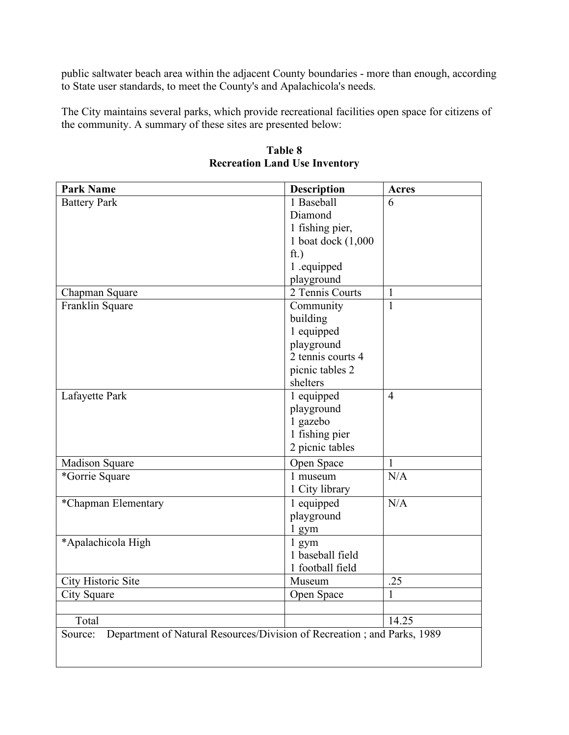public saltwater beach area within the adjacent County boundaries - more than enough, according to State user standards, to meet the County's and Apalachicola's needs.

The City maintains several parks, which provide recreational facilities open space for citizens of the community. A summary of these sites are presented below:

| <b>Park Name</b>                                                                   | <b>Description</b>    | Acres          |
|------------------------------------------------------------------------------------|-----------------------|----------------|
| <b>Battery Park</b>                                                                | 1 Baseball            | 6              |
|                                                                                    | Diamond               |                |
|                                                                                    | 1 fishing pier,       |                |
|                                                                                    | 1 boat dock $(1,000)$ |                |
|                                                                                    | ft.)                  |                |
|                                                                                    | 1 .equipped           |                |
|                                                                                    | playground            |                |
| Chapman Square                                                                     | 2 Tennis Courts       | 1              |
| Franklin Square                                                                    | Community             | 1              |
|                                                                                    | building              |                |
|                                                                                    | 1 equipped            |                |
|                                                                                    | playground            |                |
|                                                                                    | 2 tennis courts 4     |                |
|                                                                                    | picnic tables 2       |                |
|                                                                                    | shelters              |                |
| Lafayette Park                                                                     | 1 equipped            | $\overline{4}$ |
|                                                                                    | playground            |                |
|                                                                                    | 1 gazebo              |                |
|                                                                                    | 1 fishing pier        |                |
|                                                                                    | 2 picnic tables       |                |
| <b>Madison Square</b>                                                              | Open Space            | 1              |
| *Gorrie Square                                                                     | 1 museum              | N/A            |
|                                                                                    | 1 City library        |                |
| *Chapman Elementary                                                                | 1 equipped            | N/A            |
|                                                                                    | playground            |                |
|                                                                                    | 1 gym                 |                |
| *Apalachicola High                                                                 | 1 gym                 |                |
|                                                                                    | 1 baseball field      |                |
|                                                                                    | 1 football field      |                |
| City Historic Site                                                                 | Museum                | .25            |
| City Square                                                                        | Open Space            | $\mathbf{1}$   |
|                                                                                    |                       |                |
| Total                                                                              |                       | 14.25          |
| Department of Natural Resources/Division of Recreation; and Parks, 1989<br>Source: |                       |                |
|                                                                                    |                       |                |
|                                                                                    |                       |                |

**Table 8 Recreation Land Use Inventory**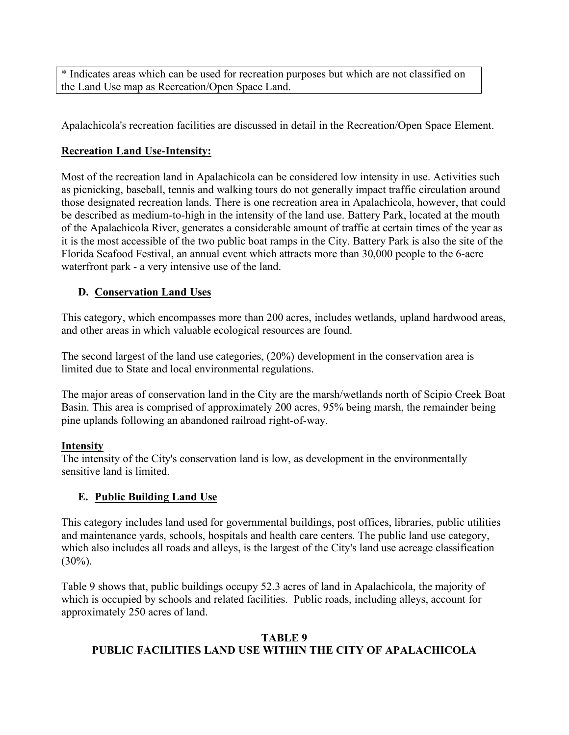\* Indicates areas which can be used for recreation purposes but which are not classified on the Land Use map as Recreation/Open Space Land.

Apalachicola's recreation facilities are discussed in detail in the Recreation/Open Space Element.

# **Recreation Land Use-Intensity:**

Most of the recreation land in Apalachicola can be considered low intensity in use. Activities such as picnicking, baseball, tennis and walking tours do not generally impact traffic circulation around those designated recreation lands. There is one recreation area in Apalachicola, however, that could be described as medium-to-high in the intensity of the land use. Battery Park, located at the mouth of the Apalachicola River, generates a considerable amount of traffic at certain times of the year as it is the most accessible of the two public boat ramps in the City. Battery Park is also the site of the Florida Seafood Festival, an annual event which attracts more than 30,000 people to the 6-acre waterfront park - a very intensive use of the land.

# **D. Conservation Land Uses**

This category, which encompasses more than 200 acres, includes wetlands, upland hardwood areas, and other areas in which valuable ecological resources are found.

The second largest of the land use categories, (20%) development in the conservation area is limited due to State and local environmental regulations.

The major areas of conservation land in the City are the marsh/wetlands north of Scipio Creek Boat Basin. This area is comprised of approximately 200 acres, 95% being marsh, the remainder being pine uplands following an abandoned railroad right-of-way.

# **Intensity**

The intensity of the City's conservation land is low, as development in the environmentally sensitive land is limited.

# **E. Public Building Land Use**

This category includes land used for governmental buildings, post offices, libraries, public utilities and maintenance yards, schools, hospitals and health care centers. The public land use category, which also includes all roads and alleys, is the largest of the City's land use acreage classification  $(30\%)$ .

Table 9 shows that, public buildings occupy 52.3 acres of land in Apalachicola, the majority of which is occupied by schools and related facilities. Public roads, including alleys, account for approximately 250 acres of land.

# **TABLE 9 PUBLIC FACILITIES LAND USE WITHIN THE CITY OF APALACHICOLA**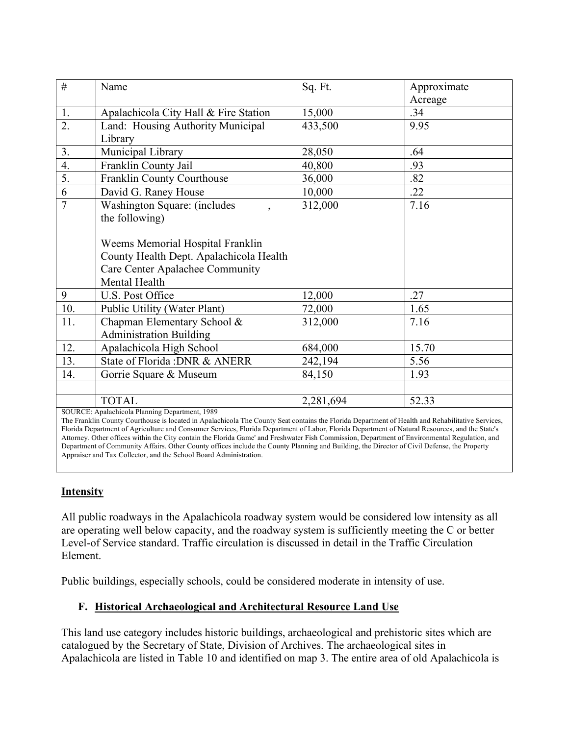| #                | Name                                      | Sq. Ft.   | Approximate |
|------------------|-------------------------------------------|-----------|-------------|
|                  |                                           |           | Acreage     |
| 1.               | Apalachicola City Hall & Fire Station     | 15,000    | .34         |
| 2.               | Land: Housing Authority Municipal         | 433,500   | 9.95        |
|                  | Library                                   |           |             |
| 3.               | Municipal Library                         | 28,050    | .64         |
| $\overline{4}$ . | Franklin County Jail                      | 40,800    | .93         |
| 5.               | Franklin County Courthouse                | 36,000    | .82         |
| 6                | David G. Raney House                      | 10,000    | .22         |
| $\overline{7}$   | Washington Square: (includes              | 312,000   | 7.16        |
|                  | the following)                            |           |             |
|                  |                                           |           |             |
|                  | Weems Memorial Hospital Franklin          |           |             |
|                  | County Health Dept. Apalachicola Health   |           |             |
|                  | Care Center Apalachee Community           |           |             |
|                  | Mental Health                             |           |             |
| 9                | U.S. Post Office                          | 12,000    | .27         |
| 10.              | Public Utility (Water Plant)              | 72,000    | 1.65        |
| 11.              | Chapman Elementary School &               | 312,000   | 7.16        |
|                  | <b>Administration Building</b>            |           |             |
| 12.              | Apalachicola High School                  | 684,000   | 15.70       |
| 13.              | State of Florida : DNR & ANERR<br>242,194 |           | 5.56        |
| 14.              | Gorrie Square & Museum                    | 84,150    | 1.93        |
|                  |                                           |           |             |
|                  | <b>TOTAL</b>                              | 2,281,694 | 52.33       |

SOURCE: Apalachicola Planning Department, 1989

The Franklin County Courthouse is located in Apalachicola The County Seat contains the Florida Department of Health and Rehabilitative Services, Florida Department of Agriculture and Consumer Services, Florida Department of Labor, Florida Department of Natural Resources, and the State's Attorney. Other offices within the City contain the Florida Game' and Freshwater Fish Commission, Department of Environmental Regulation, and Department of Community Affairs. Other County offices include the County Planning and Building, the Director of Civil Defense, the Property Appraiser and Tax Collector, and the School Board Administration.

### **Intensity**

All public roadways in the Apalachicola roadway system would be considered low intensity as all are operating well below capacity, and the roadway system is sufficiently meeting the C or better Level-of Service standard. Traffic circulation is discussed in detail in the Traffic Circulation Element.

Public buildings, especially schools, could be considered moderate in intensity of use.

# **F. Historical Archaeological and Architectural Resource Land Use**

This land use category includes historic buildings, archaeological and prehistoric sites which are catalogued by the Secretary of State, Division of Archives. The archaeological sites in Apalachicola are listed in Table 10 and identified on map 3. The entire area of old Apalachicola is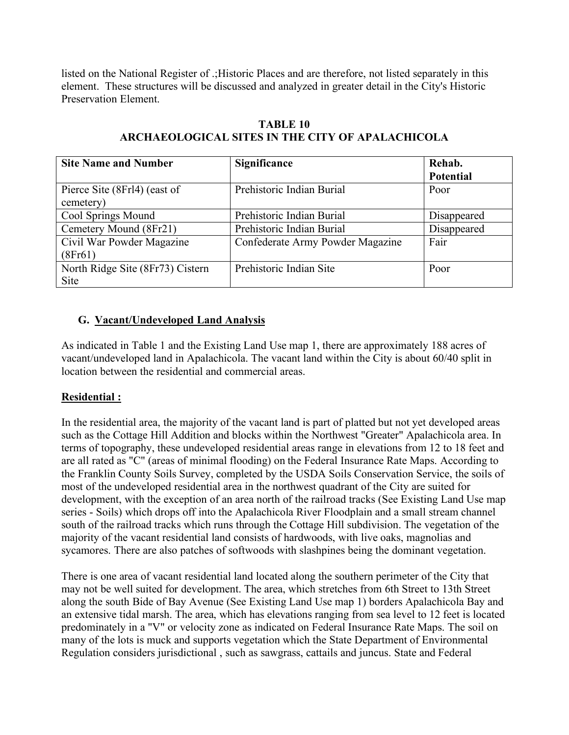listed on the National Register of .; Historic Places and are therefore, not listed separately in this element. These structures will be discussed and analyzed in greater detail in the City's Historic Preservation Element.

| <b>Site Name and Number</b>               | Significance                     | Rehab.<br><b>Potential</b> |
|-------------------------------------------|----------------------------------|----------------------------|
| Pierce Site (8Fr14) (east of<br>cemetery) | Prehistoric Indian Burial        | Poor                       |
| Cool Springs Mound                        | Prehistoric Indian Burial        | Disappeared                |
| Cemetery Mound (8Fr21)                    | Prehistoric Indian Burial        | Disappeared                |
| Civil War Powder Magazine<br>(8Fr61)      | Confederate Army Powder Magazine | Fair                       |
| North Ridge Site (8Fr73) Cistern<br>Site  | Prehistoric Indian Site          | Poor                       |

### **TABLE 10 ARCHAEOLOGICAL SITES IN THE CITY OF APALACHICOLA**

# **G. Vacant/Undeveloped Land Analysis**

As indicated in Table 1 and the Existing Land Use map 1, there are approximately 188 acres of vacant/undeveloped land in Apalachicola. The vacant land within the City is about 60/40 split in location between the residential and commercial areas.

# **Residential :**

In the residential area, the majority of the vacant land is part of platted but not yet developed areas such as the Cottage Hill Addition and blocks within the Northwest "Greater" Apalachicola area. In terms of topography, these undeveloped residential areas range in elevations from 12 to 18 feet and are all rated as "C" (areas of minimal flooding) on the Federal Insurance Rate Maps. According to the Franklin County Soils Survey, completed by the USDA Soils Conservation Service, the soils of most of the undeveloped residential area in the northwest quadrant of the City are suited for development, with the exception of an area north of the railroad tracks (See Existing Land Use map series - Soils) which drops off into the Apalachicola River Floodplain and a small stream channel south of the railroad tracks which runs through the Cottage Hill subdivision. The vegetation of the majority of the vacant residential land consists of hardwoods, with live oaks, magnolias and sycamores. There are also patches of softwoods with slashpines being the dominant vegetation.

There is one area of vacant residential land located along the southern perimeter of the City that may not be well suited for development. The area, which stretches from 6th Street to 13th Street along the south Bide of Bay Avenue (See Existing Land Use map 1) borders Apalachicola Bay and an extensive tidal marsh. The area, which has elevations ranging from sea level to 12 feet is located predominately in a "V" or velocity zone as indicated on Federal Insurance Rate Maps. The soil on many of the lots is muck and supports vegetation which the State Department of Environmental Regulation considers jurisdictional , such as sawgrass, cattails and juncus. State and Federal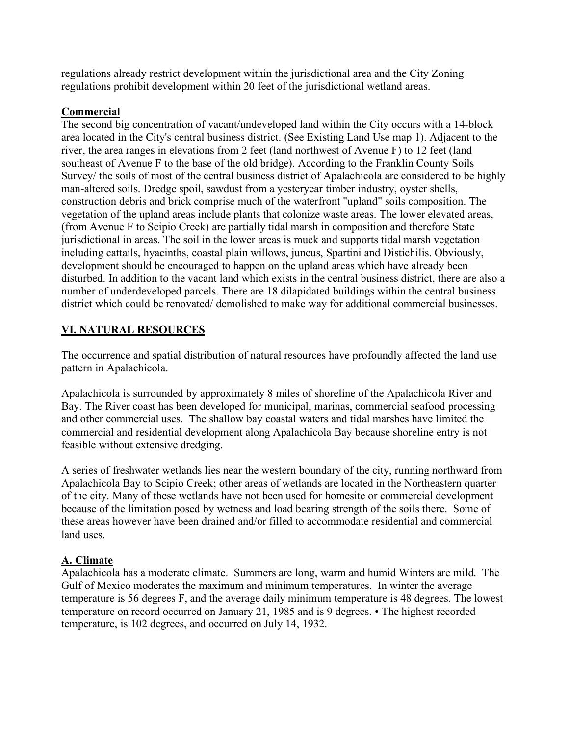regulations already restrict development within the jurisdictional area and the City Zoning regulations prohibit development within 20 feet of the jurisdictional wetland areas.

### **Commercial**

The second big concentration of vacant/undeveloped land within the City occurs with a 14-block area located in the City's central business district. (See Existing Land Use map 1). Adjacent to the river, the area ranges in elevations from 2 feet (land northwest of Avenue F) to 12 feet (land southeast of Avenue F to the base of the old bridge). According to the Franklin County Soils Survey/ the soils of most of the central business district of Apalachicola are considered to be highly man-altered soils. Dredge spoil, sawdust from a yesteryear timber industry, oyster shells, construction debris and brick comprise much of the waterfront "upland" soils composition. The vegetation of the upland areas include plants that colonize waste areas. The lower elevated areas, (from Avenue F to Scipio Creek) are partially tidal marsh in composition and therefore State jurisdictional in areas. The soil in the lower areas is muck and supports tidal marsh vegetation including cattails, hyacinths, coastal plain willows, juncus, Spartini and Distichilis. Obviously, development should be encouraged to happen on the upland areas which have already been disturbed. In addition to the vacant land which exists in the central business district, there are also a number of underdeveloped parcels. There are 18 dilapidated buildings within the central business district which could be renovated/ demolished to make way for additional commercial businesses.

# **VI. NATURAL RESOURCES**

The occurrence and spatial distribution of natural resources have profoundly affected the land use pattern in Apalachicola.

Apalachicola is surrounded by approximately 8 miles of shoreline of the Apalachicola River and Bay. The River coast has been developed for municipal, marinas, commercial seafood processing and other commercial uses. The shallow bay coastal waters and tidal marshes have limited the commercial and residential development along Apalachicola Bay because shoreline entry is not feasible without extensive dredging.

A series of freshwater wetlands lies near the western boundary of the city, running northward from Apalachicola Bay to Scipio Creek; other areas of wetlands are located in the Northeastern quarter of the city. Many of these wetlands have not been used for homesite or commercial development because of the limitation posed by wetness and load bearing strength of the soils there. Some of these areas however have been drained and/or filled to accommodate residential and commercial land uses

### **A. Climate**

Apalachicola has a moderate climate. Summers are long, warm and humid Winters are mild. The Gulf of Mexico moderates the maximum and minimum temperatures. In winter the average temperature is 56 degrees F, and the average daily minimum temperature is 48 degrees. The lowest temperature on record occurred on January 21, 1985 and is 9 degrees. • The highest recorded temperature, is 102 degrees, and occurred on July 14, 1932.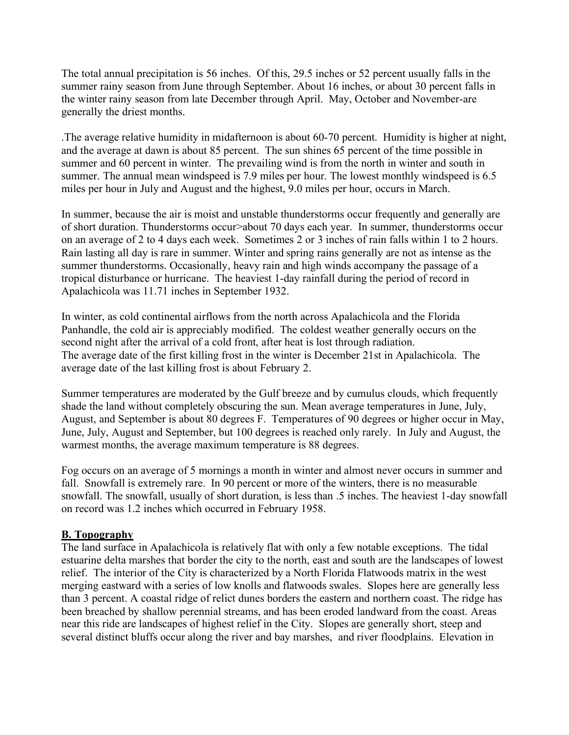The total annual precipitation is 56 inches. Of this, 29.5 inches or 52 percent usually falls in the summer rainy season from June through September. About 16 inches, or about 30 percent falls in the winter rainy season from late December through April. May, October and November-are generally the driest months.

.The average relative humidity in midafternoon is about 60-70 percent. Humidity is higher at night, and the average at dawn is about 85 percent. The sun shines 65 percent of the time possible in summer and 60 percent in winter. The prevailing wind is from the north in winter and south in summer. The annual mean windspeed is 7.9 miles per hour. The lowest monthly windspeed is 6.5 miles per hour in July and August and the highest, 9.0 miles per hour, occurs in March.

In summer, because the air is moist and unstable thunderstorms occur frequently and generally are of short duration. Thunderstorms occur>about 70 days each year. In summer, thunderstorms occur on an average of 2 to 4 days each week. Sometimes 2 or 3 inches of rain falls within 1 to 2 hours. Rain lasting all day is rare in summer. Winter and spring rains generally are not as intense as the summer thunderstorms. Occasionally, heavy rain and high winds accompany the passage of a tropical disturbance or hurricane. The heaviest 1-day rainfall during the period of record in Apalachicola was 11.71 inches in September 1932.

In winter, as cold continental airflows from the north across Apalachicola and the Florida Panhandle, the cold air is appreciably modified. The coldest weather generally occurs on the second night after the arrival of a cold front, after heat is lost through radiation. The average date of the first killing frost in the winter is December 21st in Apalachicola. The average date of the last killing frost is about February 2.

Summer temperatures are moderated by the Gulf breeze and by cumulus clouds, which frequently shade the land without completely obscuring the sun. Mean average temperatures in June, July, August, and September is about 80 degrees F. Temperatures of 90 degrees or higher occur in May, June, July, August and September, but 100 degrees is reached only rarely. In July and August, the warmest months, the average maximum temperature is 88 degrees.

Fog occurs on an average of 5 mornings a month in winter and almost never occurs in summer and fall. Snowfall is extremely rare. In 90 percent or more of the winters, there is no measurable snowfall. The snowfall, usually of short duration, is less than .5 inches. The heaviest 1-day snowfall on record was 1.2 inches which occurred in February 1958.

### **B. Topography**

The land surface in Apalachicola is relatively flat with only a few notable exceptions. The tidal estuarine delta marshes that border the city to the north, east and south are the landscapes of lowest relief. The interior of the City is characterized by a North Florida Flatwoods matrix in the west merging eastward with a series of low knolls and flatwoods swales. Slopes here are generally less than 3 percent. A coastal ridge of relict dunes borders the eastern and northern coast. The ridge has been breached by shallow perennial streams, and has been eroded landward from the coast. Areas near this ride are landscapes of highest relief in the City. Slopes are generally short, steep and several distinct bluffs occur along the river and bay marshes, and river floodplains. Elevation in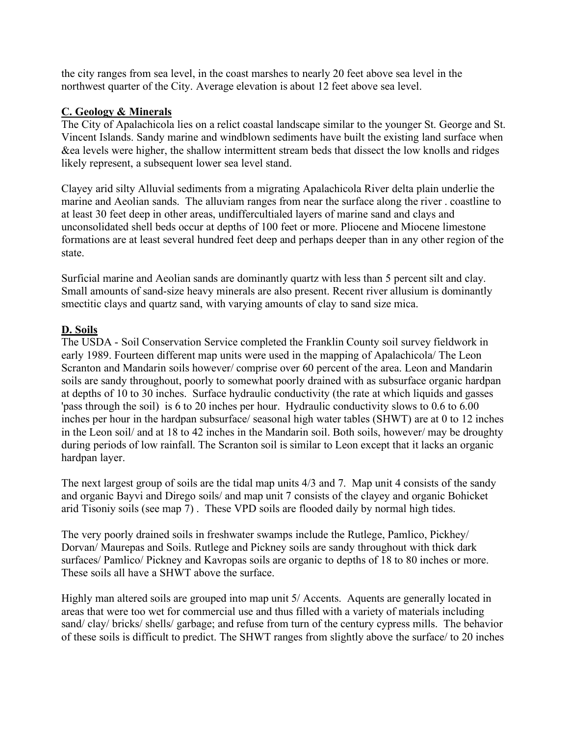the city ranges from sea level, in the coast marshes to nearly 20 feet above sea level in the northwest quarter of the City. Average elevation is about 12 feet above sea level.

#### **C. Geology & Minerals**

The City of Apalachicola lies on a relict coastal landscape similar to the younger St. George and St. Vincent Islands. Sandy marine and windblown sediments have built the existing land surface when &ea levels were higher, the shallow intermittent stream beds that dissect the low knolls and ridges likely represent, a subsequent lower sea level stand.

Clayey arid silty Alluvial sediments from a migrating Apalachicola River delta plain underlie the marine and Aeolian sands. The alluviam ranges from near the surface along the river . coastline to at least 30 feet deep in other areas, undiffercultialed layers of marine sand and clays and unconsolidated shell beds occur at depths of 100 feet or more. Pliocene and Miocene limestone formations are at least several hundred feet deep and perhaps deeper than in any other region of the state.

Surficial marine and Aeolian sands are dominantly quartz with less than 5 percent silt and clay. Small amounts of sand-size heavy minerals are also present. Recent river allusium is dominantly smectitic clays and quartz sand, with varying amounts of clay to sand size mica.

### **D. Soils**

The USDA - Soil Conservation Service completed the Franklin County soil survey fieldwork in early 1989. Fourteen different map units were used in the mapping of Apalachicola/ The Leon Scranton and Mandarin soils however/ comprise over 60 percent of the area. Leon and Mandarin soils are sandy throughout, poorly to somewhat poorly drained with as subsurface organic hardpan at depths of 10 to 30 inches. Surface hydraulic conductivity (the rate at which liquids and gasses 'pass through the soil) is 6 to 20 inches per hour. Hydraulic conductivity slows to 0.6 to 6.00 inches per hour in the hardpan subsurface/ seasonal high water tables (SHWT) are at 0 to 12 inches in the Leon soil/ and at 18 to 42 inches in the Mandarin soil. Both soils, however/ may be droughty during periods of low rainfall. The Scranton soil is similar to Leon except that it lacks an organic hardpan layer.

The next largest group of soils are the tidal map units 4/3 and 7. Map unit 4 consists of the sandy and organic Bayvi and Dirego soils/ and map unit 7 consists of the clayey and organic Bohicket arid Tisoniy soils (see map 7) . These VPD soils are flooded daily by normal high tides.

The very poorly drained soils in freshwater swamps include the Rutlege, Pamlico, Pickhey/ Dorvan/ Maurepas and Soils. Rutlege and Pickney soils are sandy throughout with thick dark surfaces/ Pamlico/ Pickney and Kavropas soils are organic to depths of 18 to 80 inches or more. These soils all have a SHWT above the surface.

Highly man altered soils are grouped into map unit 5/ Accents. Aquents are generally located in areas that were too wet for commercial use and thus filled with a variety of materials including sand/ clay/ bricks/ shells/ garbage; and refuse from turn of the century cypress mills. The behavior of these soils is difficult to predict. The SHWT ranges from slightly above the surface/ to 20 inches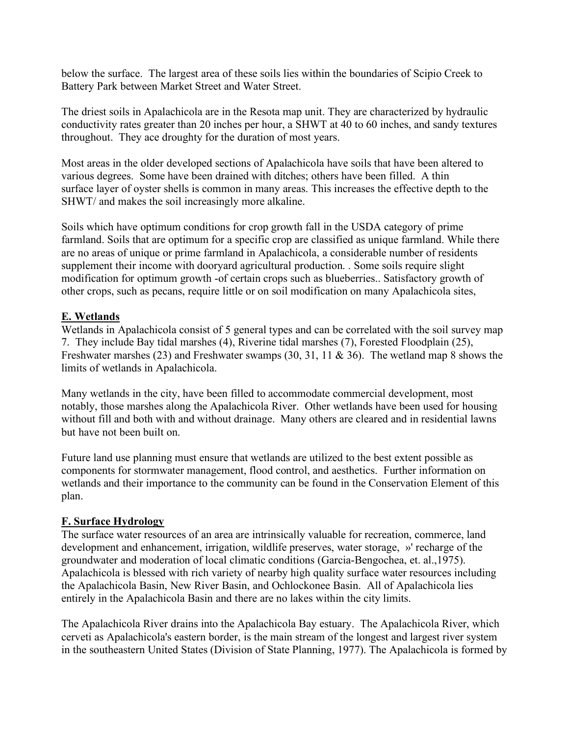below the surface. The largest area of these soils lies within the boundaries of Scipio Creek to Battery Park between Market Street and Water Street.

The driest soils in Apalachicola are in the Resota map unit. They are characterized by hydraulic conductivity rates greater than 20 inches per hour, a SHWT at 40 to 60 inches, and sandy textures throughout. They ace droughty for the duration of most years.

Most areas in the older developed sections of Apalachicola have soils that have been altered to various degrees. Some have been drained with ditches; others have been filled. A thin surface layer of oyster shells is common in many areas. This increases the effective depth to the SHWT/ and makes the soil increasingly more alkaline.

Soils which have optimum conditions for crop growth fall in the USDA category of prime farmland. Soils that are optimum for a specific crop are classified as unique farmland. While there are no areas of unique or prime farmland in Apalachicola, a considerable number of residents supplement their income with dooryard agricultural production. . Some soils require slight modification for optimum growth -of certain crops such as blueberries.. Satisfactory growth of other crops, such as pecans, require little or on soil modification on many Apalachicola sites,

### **E. Wetlands**

Wetlands in Apalachicola consist of 5 general types and can be correlated with the soil survey map 7. They include Bay tidal marshes (4), Riverine tidal marshes (7), Forested Floodplain (25), Freshwater marshes (23) and Freshwater swamps (30, 31, 11 & 36). The wetland map 8 shows the limits of wetlands in Apalachicola.

Many wetlands in the city, have been filled to accommodate commercial development, most notably, those marshes along the Apalachicola River. Other wetlands have been used for housing without fill and both with and without drainage. Many others are cleared and in residential lawns but have not been built on.

Future land use planning must ensure that wetlands are utilized to the best extent possible as components for stormwater management, flood control, and aesthetics. Further information on wetlands and their importance to the community can be found in the Conservation Element of this plan.

### **F. Surface Hydrology**

The surface water resources of an area are intrinsically valuable for recreation, commerce, land development and enhancement, irrigation, wildlife preserves, water storage, »' recharge of the groundwater and moderation of local climatic conditions (Garcia-Bengochea, et. al.,1975). Apalachicola is blessed with rich variety of nearby high quality surface water resources including the Apalachicola Basin, New River Basin, and Ochlockonee Basin. All of Apalachicola lies entirely in the Apalachicola Basin and there are no lakes within the city limits.

The Apalachicola River drains into the Apalachicola Bay estuary. The Apalachicola River, which cerveti as Apalachicola's eastern border, is the main stream of the longest and largest river system in the southeastern United States (Division of State Planning, 1977). The Apalachicola is formed by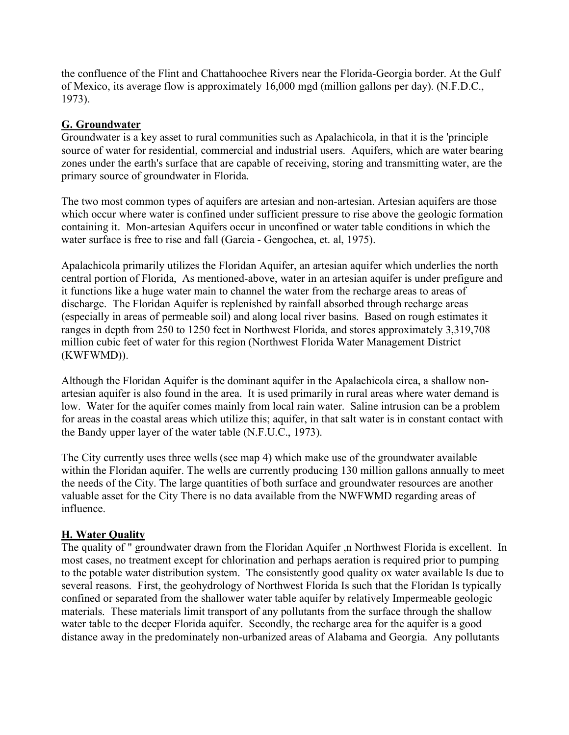the confluence of the Flint and Chattahoochee Rivers near the Florida-Georgia border. At the Gulf of Mexico, its average flow is approximately 16,000 mgd (million gallons per day). (N.F.D.C., 1973).

### **G. Groundwater**

Groundwater is a key asset to rural communities such as Apalachicola, in that it is the 'principle source of water for residential, commercial and industrial users. Aquifers, which are water bearing zones under the earth's surface that are capable of receiving, storing and transmitting water, are the primary source of groundwater in Florida.

The two most common types of aquifers are artesian and non-artesian. Artesian aquifers are those which occur where water is confined under sufficient pressure to rise above the geologic formation containing it. Mon-artesian Aquifers occur in unconfined or water table conditions in which the water surface is free to rise and fall (Garcia - Gengochea, et. al, 1975).

Apalachicola primarily utilizes the Floridan Aquifer, an artesian aquifer which underlies the north central portion of Florida, As mentioned-above, water in an artesian aquifer is under prefigure and it functions like a huge water main to channel the water from the recharge areas to areas of discharge. The Floridan Aquifer is replenished by rainfall absorbed through recharge areas (especially in areas of permeable soil) and along local river basins. Based on rough estimates it ranges in depth from 250 to 1250 feet in Northwest Florida, and stores approximately 3,319,708 million cubic feet of water for this region (Northwest Florida Water Management District (KWFWMD)).

Although the Floridan Aquifer is the dominant aquifer in the Apalachicola circa, a shallow nonartesian aquifer is also found in the area. It is used primarily in rural areas where water demand is low. Water for the aquifer comes mainly from local rain water. Saline intrusion can be a problem for areas in the coastal areas which utilize this; aquifer, in that salt water is in constant contact with the Bandy upper layer of the water table (N.F.U.C., 1973).

The City currently uses three wells (see map 4) which make use of the groundwater available within the Floridan aquifer. The wells are currently producing 130 million gallons annually to meet the needs of the City. The large quantities of both surface and groundwater resources are another valuable asset for the City There is no data available from the NWFWMD regarding areas of influence.

# **H. Water Quality**

The quality of " groundwater drawn from the Floridan Aquifer ,n Northwest Florida is excellent. In most cases, no treatment except for chlorination and perhaps aeration is required prior to pumping to the potable water distribution system. The consistently good quality ox water available Is due to several reasons. First, the geohydrology of Northwest Florida Is such that the Floridan Is typically confined or separated from the shallower water table aquifer by relatively Impermeable geologic materials. These materials limit transport of any pollutants from the surface through the shallow water table to the deeper Florida aquifer. Secondly, the recharge area for the aquifer is a good distance away in the predominately non-urbanized areas of Alabama and Georgia. Any pollutants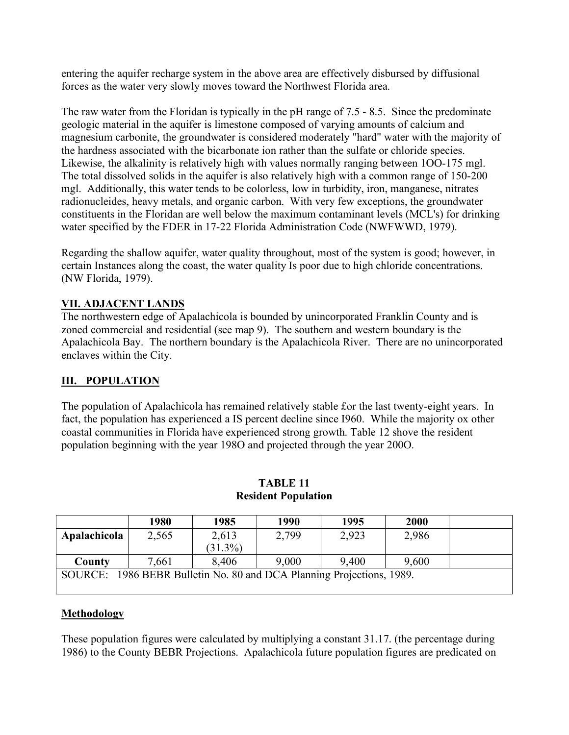entering the aquifer recharge system in the above area are effectively disbursed by diffusional forces as the water very slowly moves toward the Northwest Florida area.

The raw water from the Floridan is typically in the pH range of 7.5 - 8.5. Since the predominate geologic material in the aquifer is limestone composed of varying amounts of calcium and magnesium carbonite, the groundwater is considered moderately "hard" water with the majority of the hardness associated with the bicarbonate ion rather than the sulfate or chloride species. Likewise, the alkalinity is relatively high with values normally ranging between 1OO-175 mgl. The total dissolved solids in the aquifer is also relatively high with a common range of 150-200 mgl. Additionally, this water tends to be colorless, low in turbidity, iron, manganese, nitrates radionucleides, heavy metals, and organic carbon. With very few exceptions, the groundwater constituents in the Floridan are well below the maximum contaminant levels (MCL's) for drinking water specified by the FDER in 17-22 Florida Administration Code (NWFWWD, 1979).

Regarding the shallow aquifer, water quality throughout, most of the system is good; however, in certain Instances along the coast, the water quality Is poor due to high chloride concentrations. (NW Florida, 1979).

### **VII. ADJACENT LANDS**

The northwestern edge of Apalachicola is bounded by unincorporated Franklin County and is zoned commercial and residential (see map 9). The southern and western boundary is the Apalachicola Bay. The northern boundary is the Apalachicola River. There are no unincorporated enclaves within the City.

### **III. POPULATION**

The population of Apalachicola has remained relatively stable £or the last twenty-eight years. In fact, the population has experienced a IS percent decline since I960. While the majority ox other coastal communities in Florida have experienced strong growth. Table 12 shove the resident population beginning with the year 198O and projected through the year 200O.

|              | 1980                                                          | 1985       | 1990  | 1995  | 2000  |  |
|--------------|---------------------------------------------------------------|------------|-------|-------|-------|--|
| Apalachicola | 2,565                                                         | 2,613      | 2,799 | 2,923 | 2,986 |  |
|              |                                                               | $(31.3\%)$ |       |       |       |  |
| County       | 7.661                                                         | 8,406      | 9,000 | 9.400 | 9,600 |  |
| SOURCE:      | 1986 BEBR Bulletin No. 80 and DCA Planning Projections, 1989. |            |       |       |       |  |

#### **TABLE 11 Resident Population**

#### **Methodologv**

These population figures were calculated by multiplying a constant 31.17. (the percentage during 1986) to the County BEBR Projections. Apalachicola future population figures are predicated on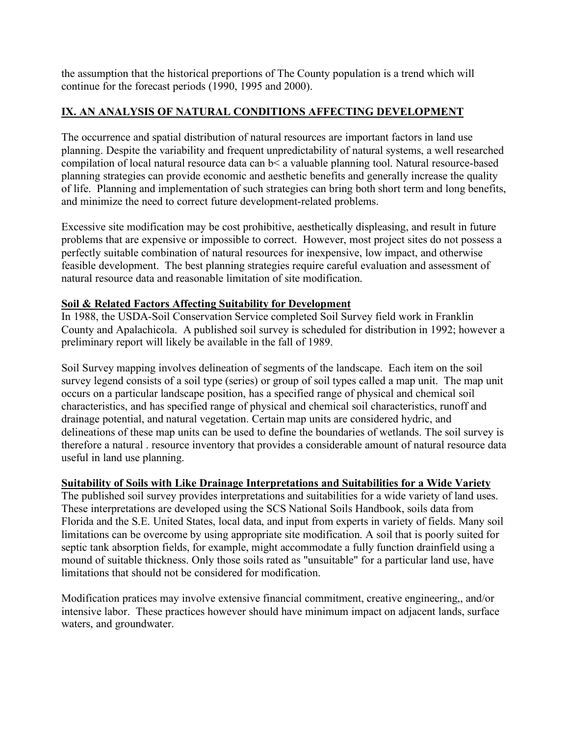the assumption that the historical preportions of The County population is a trend which will continue for the forecast periods (1990, 1995 and 2000).

# **IX. AN ANALYSIS OF NATURAL CONDITIONS AFFECTING DEVELOPMENT**

The occurrence and spatial distribution of natural resources are important factors in land use planning. Despite the variability and frequent unpredictability of natural systems, a well researched compilation of local natural resource data can b< a valuable planning tool. Natural resource-based planning strategies can provide economic and aesthetic benefits and generally increase the quality of life. Planning and implementation of such strategies can bring both short term and long benefits, and minimize the need to correct future development-related problems.

Excessive site modification may be cost prohibitive, aesthetically displeasing, and result in future problems that are expensive or impossible to correct. However, most project sites do not possess a perfectly suitable combination of natural resources for inexpensive, low impact, and otherwise feasible development. The best planning strategies require careful evaluation and assessment of natural resource data and reasonable limitation of site modification.

### **Soil & Related Factors Affecting Suitability for Development**

In 1988, the USDA-Soil Conservation Service completed Soil Survey field work in Franklin County and Apalachicola. A published soil survey is scheduled for distribution in 1992; however a preliminary report will likely be available in the fall of 1989.

Soil Survey mapping involves delineation of segments of the landscape. Each item on the soil survey legend consists of a soil type (series) or group of soil types called a map unit. The map unit occurs on a particular landscape position, has a specified range of physical and chemical soil characteristics, and has specified range of physical and chemical soil characteristics, runoff and drainage potential, and natural vegetation. Certain map units are considered hydric, and delineations of these map units can be used to define the boundaries of wetlands. The soil survey is therefore a natural . resource inventory that provides a considerable amount of natural resource data useful in land use planning.

### **Suitability of Soils with Like Drainage Interpretations and Suitabilities for a Wide Variety**

The published soil survey provides interpretations and suitabilities for a wide variety of land uses. These interpretations are developed using the SCS National Soils Handbook, soils data from Florida and the S.E. United States, local data, and input from experts in variety of fields. Many soil limitations can be overcome by using appropriate site modification. A soil that is poorly suited for septic tank absorption fields, for example, might accommodate a fully function drainfield using a mound of suitable thickness. Only those soils rated as "unsuitable" for a particular land use, have limitations that should not be considered for modification.

Modification pratices may involve extensive financial commitment, creative engineering,, and/or intensive labor. These practices however should have minimum impact on adjacent lands, surface waters, and groundwater.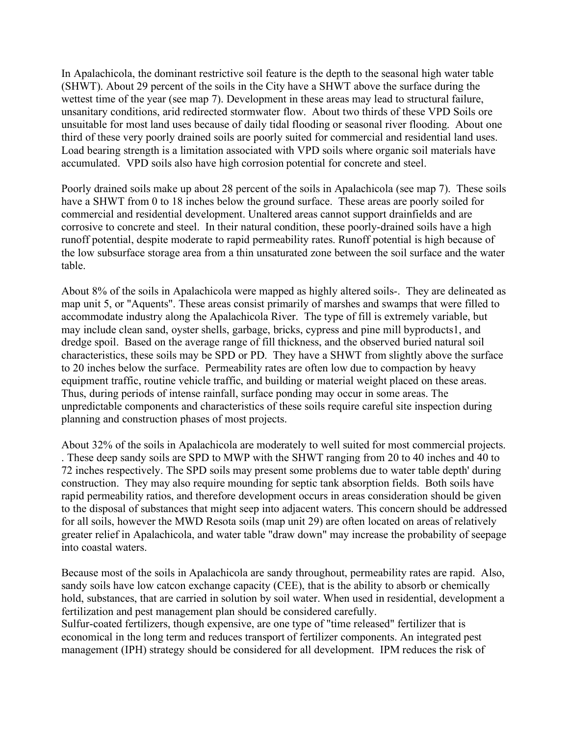In Apalachicola, the dominant restrictive soil feature is the depth to the seasonal high water table (SHWT). About 29 percent of the soils in the City have a SHWT above the surface during the wettest time of the year (see map 7). Development in these areas may lead to structural failure, unsanitary conditions, arid redirected stormwater flow. About two thirds of these VPD Soils ore unsuitable for most land uses because of daily tidal flooding or seasonal river flooding. About one third of these very poorly drained soils are poorly suited for commercial and residential land uses. Load bearing strength is a limitation associated with VPD soils where organic soil materials have accumulated. VPD soils also have high corrosion potential for concrete and steel.

Poorly drained soils make up about 28 percent of the soils in Apalachicola (see map 7). These soils have a SHWT from 0 to 18 inches below the ground surface. These areas are poorly soiled for commercial and residential development. Unaltered areas cannot support drainfields and are corrosive to concrete and steel. In their natural condition, these poorly-drained soils have a high runoff potential, despite moderate to rapid permeability rates. Runoff potential is high because of the low subsurface storage area from a thin unsaturated zone between the soil surface and the water table.

About 8% of the soils in Apalachicola were mapped as highly altered soils-. They are delineated as map unit 5, or "Aquents". These areas consist primarily of marshes and swamps that were filled to accommodate industry along the Apalachicola River. The type of fill is extremely variable, but may include clean sand, oyster shells, garbage, bricks, cypress and pine mill byproducts1, and dredge spoil. Based on the average range of fill thickness, and the observed buried natural soil characteristics, these soils may be SPD or PD. They have a SHWT from slightly above the surface to 20 inches below the surface. Permeability rates are often low due to compaction by heavy equipment traffic, routine vehicle traffic, and building or material weight placed on these areas. Thus, during periods of intense rainfall, surface ponding may occur in some areas. The unpredictable components and characteristics of these soils require careful site inspection during planning and construction phases of most projects.

About 32% of the soils in Apalachicola are moderately to well suited for most commercial projects. . These deep sandy soils are SPD to MWP with the SHWT ranging from 20 to 40 inches and 40 to 72 inches respectively. The SPD soils may present some problems due to water table depth' during construction. They may also require mounding for septic tank absorption fields. Both soils have rapid permeability ratios, and therefore development occurs in areas consideration should be given to the disposal of substances that might seep into adjacent waters. This concern should be addressed for all soils, however the MWD Resota soils (map unit 29) are often located on areas of relatively greater relief in Apalachicola, and water table "draw down" may increase the probability of seepage into coastal waters.

Because most of the soils in Apalachicola are sandy throughout, permeability rates are rapid. Also, sandy soils have low catcon exchange capacity (CEE), that is the ability to absorb or chemically hold, substances, that are carried in solution by soil water. When used in residential, development a fertilization and pest management plan should be considered carefully.

Sulfur-coated fertilizers, though expensive, are one type of "time released" fertilizer that is economical in the long term and reduces transport of fertilizer components. An integrated pest management (IPH) strategy should be considered for all development. IPM reduces the risk of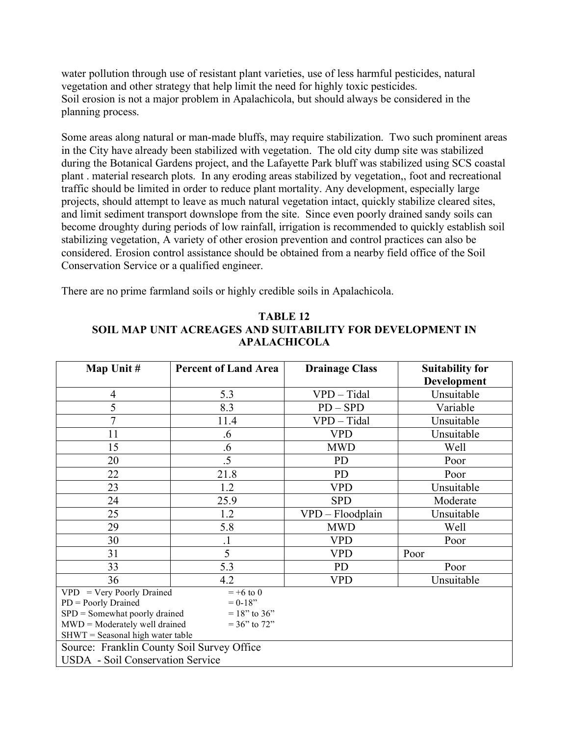water pollution through use of resistant plant varieties, use of less harmful pesticides, natural vegetation and other strategy that help limit the need for highly toxic pesticides. Soil erosion is not a major problem in Apalachicola, but should always be considered in the planning process.

Some areas along natural or man-made bluffs, may require stabilization. Two such prominent areas in the City have already been stabilized with vegetation. The old city dump site was stabilized during the Botanical Gardens project, and the Lafayette Park bluff was stabilized using SCS coastal plant . material research plots. In any eroding areas stabilized by vegetation,, foot and recreational traffic should be limited in order to reduce plant mortality. Any development, especially large projects, should attempt to leave as much natural vegetation intact, quickly stabilize cleared sites, and limit sediment transport downslope from the site. Since even poorly drained sandy soils can become droughty during periods of low rainfall, irrigation is recommended to quickly establish soil stabilizing vegetation, A variety of other erosion prevention and control practices can also be considered. Erosion control assistance should be obtained from a nearby field office of the Soil Conservation Service or a qualified engineer.

There are no prime farmland soils or highly credible soils in Apalachicola.

| Map Unit #                                 | <b>Percent of Land Area</b> | <b>Drainage Class</b> | <b>Suitability for</b> |  |
|--------------------------------------------|-----------------------------|-----------------------|------------------------|--|
|                                            |                             |                       | Development            |  |
| 4                                          | 5.3                         | VPD - Tidal           | Unsuitable             |  |
| 5                                          | 8.3                         | $PD - SPD$            | Variable               |  |
| $\overline{7}$                             | 11.4                        | VPD - Tidal           | Unsuitable             |  |
| 11                                         | .6                          | <b>VPD</b>            | Unsuitable             |  |
| 15                                         | .6                          | <b>MWD</b>            | Well                   |  |
| 20                                         | $\overline{.5}$             | <b>PD</b>             | Poor                   |  |
| 22                                         | 21.8                        | PD                    | Poor                   |  |
| 23                                         | 1.2                         | <b>VPD</b>            | Unsuitable             |  |
| 24                                         | 25.9                        | <b>SPD</b>            | Moderate               |  |
| 25                                         | 1.2                         | VPD - Floodplain      | Unsuitable             |  |
| 29                                         | 5.8                         | <b>MWD</b>            | Well                   |  |
| 30                                         | $\cdot$ 1                   | <b>VPD</b>            | Poor                   |  |
| 31                                         | 5                           | <b>VPD</b>            | Poor                   |  |
| 33                                         | 5.3                         | <b>PD</b>             | Poor                   |  |
| 36                                         | 4.2                         | <b>VPD</b>            | Unsuitable             |  |
| $VPD = Very Poorly Drained$                | $= +6$ to 0                 |                       |                        |  |
| $PD =$ Poorly Drained                      | $= 0.18$ "                  |                       |                        |  |
| $SPD =$ Somewhat poorly drained            | $= 18$ " to 36"             |                       |                        |  |
| $MWD =$ Moderately well drained            | $= 36"$ to 72"              |                       |                        |  |
| $SHWT =$ Seasonal high water table         |                             |                       |                        |  |
| Source: Franklin County Soil Survey Office |                             |                       |                        |  |
| <b>USDA</b> - Soil Conservation Service    |                             |                       |                        |  |

**TABLE 12 SOIL MAP UNIT ACREAGES AND SUITABILITY FOR DEVELOPMENT IN APALACHICOLA**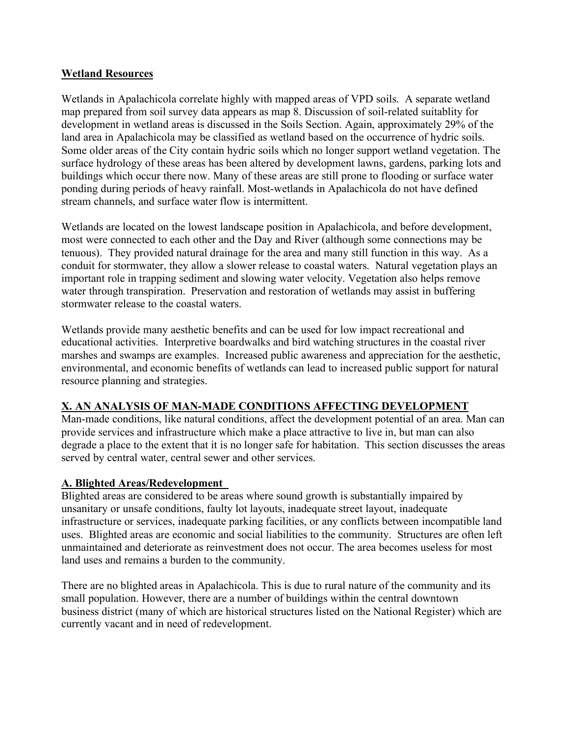#### **Wetland Resources**

Wetlands in Apalachicola correlate highly with mapped areas of VPD soils. A separate wetland map prepared from soil survey data appears as map 8. Discussion of soil-related suitablity for development in wetland areas is discussed in the Soils Section. Again, approximately 29% of the land area in Apalachicola may be classified as wetland based on the occurrence of hydric soils. Some older areas of the City contain hydric soils which no longer support wetland vegetation. The surface hydrology of these areas has been altered by development lawns, gardens, parking lots and buildings which occur there now. Many of these areas are still prone to flooding or surface water ponding during periods of heavy rainfall. Most-wetlands in Apalachicola do not have defined stream channels, and surface water flow is intermittent.

Wetlands are located on the lowest landscape position in Apalachicola, and before development, most were connected to each other and the Day and River (although some connections may be tenuous). They provided natural drainage for the area and many still function in this way. As a conduit for stormwater, they allow a slower release to coastal waters. Natural vegetation plays an important role in trapping sediment and slowing water velocity. Vegetation also helps remove water through transpiration. Preservation and restoration of wetlands may assist in buffering stormwater release to the coastal waters.

Wetlands provide many aesthetic benefits and can be used for low impact recreational and educational activities. Interpretive boardwalks and bird watching structures in the coastal river marshes and swamps are examples. Increased public awareness and appreciation for the aesthetic, environmental, and economic benefits of wetlands can lead to increased public support for natural resource planning and strategies.

# **X. AN ANALYSIS OF MAN-MADE CONDITIONS AFFECTING DEVELOPMENT**

Man-made conditions, like natural conditions, affect the development potential of an area. Man can provide services and infrastructure which make a place attractive to live in, but man can also degrade a place to the extent that it is no longer safe for habitation. This section discusses the areas served by central water, central sewer and other services.

#### **A. Blighted Areas/Redevelopment**

Blighted areas are considered to be areas where sound growth is substantially impaired by unsanitary or unsafe conditions, faulty lot layouts, inadequate street layout, inadequate infrastructure or services, inadequate parking facilities, or any conflicts between incompatible land uses. Blighted areas are economic and social liabilities to the community. Structures are often left unmaintained and deteriorate as reinvestment does not occur. The area becomes useless for most land uses and remains a burden to the community.

There are no blighted areas in Apalachicola. This is due to rural nature of the community and its small population. However, there are a number of buildings within the central downtown business district (many of which are historical structures listed on the National Register) which are currently vacant and in need of redevelopment.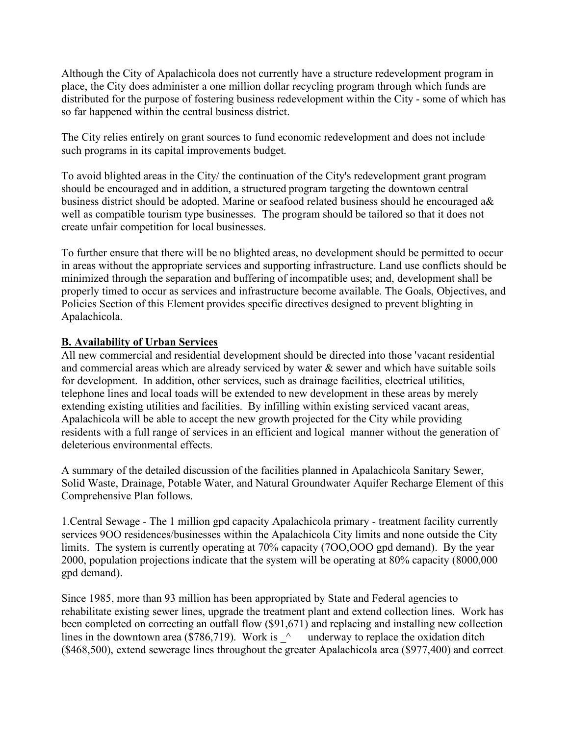Although the City of Apalachicola does not currently have a structure redevelopment program in place, the City does administer a one million dollar recycling program through which funds are distributed for the purpose of fostering business redevelopment within the City - some of which has so far happened within the central business district.

The City relies entirely on grant sources to fund economic redevelopment and does not include such programs in its capital improvements budget.

To avoid blighted areas in the City/ the continuation of the City's redevelopment grant program should be encouraged and in addition, a structured program targeting the downtown central business district should be adopted. Marine or seafood related business should he encouraged a& well as compatible tourism type businesses. The program should be tailored so that it does not create unfair competition for local businesses.

To further ensure that there will be no blighted areas, no development should be permitted to occur in areas without the appropriate services and supporting infrastructure. Land use conflicts should be minimized through the separation and buffering of incompatible uses; and, development shall be properly timed to occur as services and infrastructure become available. The Goals, Objectives, and Policies Section of this Element provides specific directives designed to prevent blighting in Apalachicola.

### **B. Availability of Urban Services**

All new commercial and residential development should be directed into those 'vacant residential and commercial areas which are already serviced by water & sewer and which have suitable soils for development. In addition, other services, such as drainage facilities, electrical utilities, telephone lines and local toads will be extended to new development in these areas by merely extending existing utilities and facilities. By infilling within existing serviced vacant areas, Apalachicola will be able to accept the new growth projected for the City while providing residents with a full range of services in an efficient and logical manner without the generation of deleterious environmental effects.

A summary of the detailed discussion of the facilities planned in Apalachicola Sanitary Sewer, Solid Waste, Drainage, Potable Water, and Natural Groundwater Aquifer Recharge Element of this Comprehensive Plan follows.

1.Central Sewage - The 1 million gpd capacity Apalachicola primary - treatment facility currently services 9OO residences/businesses within the Apalachicola City limits and none outside the City limits. The system is currently operating at 70% capacity (7OO,OOO gpd demand). By the year 2000, population projections indicate that the system will be operating at 80% capacity (8000,000 gpd demand).

Since 1985, more than 93 million has been appropriated by State and Federal agencies to rehabilitate existing sewer lines, upgrade the treatment plant and extend collection lines. Work has been completed on correcting an outfall flow (\$91,671) and replacing and installing new collection lines in the downtown area (\$786,719). Work is  $\sim$  underway to replace the oxidation ditch (\$468,500), extend sewerage lines throughout the greater Apalachicola area (\$977,400) and correct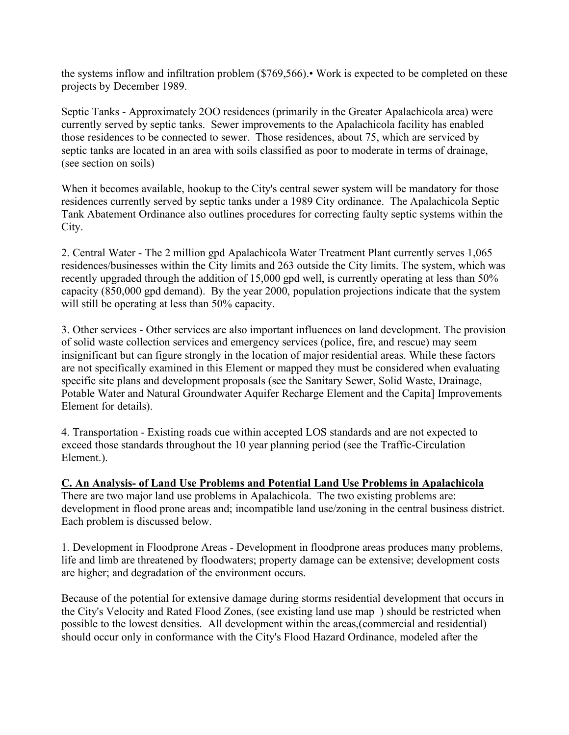the systems inflow and infiltration problem (\$769,566).• Work is expected to be completed on these projects by December 1989.

Septic Tanks - Approximately 2OO residences (primarily in the Greater Apalachicola area) were currently served by septic tanks. Sewer improvements to the Apalachicola facility has enabled those residences to be connected to sewer. Those residences, about 75, which are serviced by septic tanks are located in an area with soils classified as poor to moderate in terms of drainage, (see section on soils)

When it becomes available, hookup to the City's central sewer system will be mandatory for those residences currently served by septic tanks under a 1989 City ordinance. The Apalachicola Septic Tank Abatement Ordinance also outlines procedures for correcting faulty septic systems within the City.

2. Central Water - The 2 million gpd Apalachicola Water Treatment Plant currently serves 1,065 residences/businesses within the City limits and 263 outside the City limits. The system, which was recently upgraded through the addition of 15,000 gpd well, is currently operating at less than 50% capacity (850,000 gpd demand). By the year 2000, population projections indicate that the system will still be operating at less than 50% capacity.

3. Other services - Other services are also important influences on land development. The provision of solid waste collection services and emergency services (police, fire, and rescue) may seem insignificant but can figure strongly in the location of major residential areas. While these factors are not specifically examined in this Element or mapped they must be considered when evaluating specific site plans and development proposals (see the Sanitary Sewer, Solid Waste, Drainage, Potable Water and Natural Groundwater Aquifer Recharge Element and the Capita] Improvements Element for details).

4. Transportation - Existing roads cue within accepted LOS standards and are not expected to exceed those standards throughout the 10 year planning period (see the Traffic-Circulation Element.).

**C. An Analysis- of Land Use Problems and Potential Land Use Problems in Apalachicola** There are two major land use problems in Apalachicola. The two existing problems are: development in flood prone areas and; incompatible land use/zoning in the central business district. Each problem is discussed below.

1. Development in Floodprone Areas - Development in floodprone areas produces many problems, life and limb are threatened by floodwaters; property damage can be extensive; development costs are higher; and degradation of the environment occurs.

Because of the potential for extensive damage during storms residential development that occurs in the City's Velocity and Rated Flood Zones, (see existing land use map ) should be restricted when possible to the lowest densities. All development within the areas,(commercial and residential) should occur only in conformance with the City's Flood Hazard Ordinance, modeled after the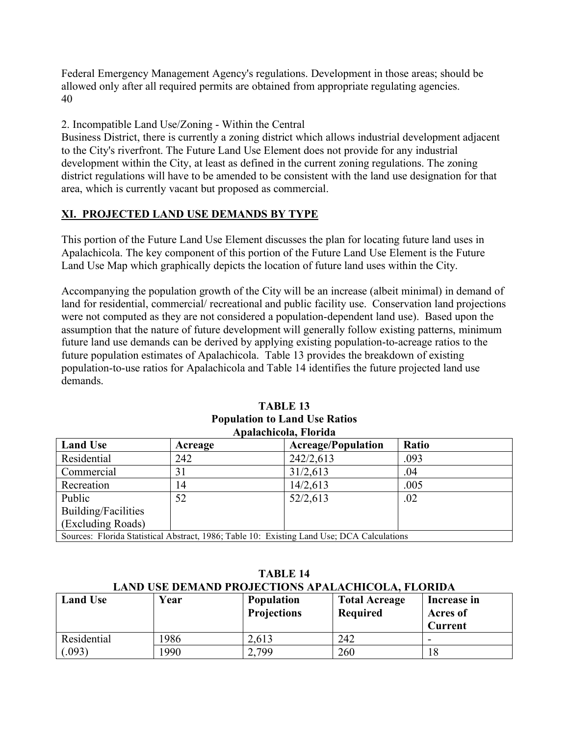Federal Emergency Management Agency's regulations. Development in those areas; should be allowed only after all required permits are obtained from appropriate regulating agencies. 40

2. Incompatible Land Use/Zoning - Within the Central

Business District, there is currently a zoning district which allows industrial development adjacent to the City's riverfront. The Future Land Use Element does not provide for any industrial development within the City, at least as defined in the current zoning regulations. The zoning district regulations will have to be amended to be consistent with the land use designation for that area, which is currently vacant but proposed as commercial.

### **XI. PROJECTED LAND USE DEMANDS BY TYPE**

This portion of the Future Land Use Element discusses the plan for locating future land uses in Apalachicola. The key component of this portion of the Future Land Use Element is the Future Land Use Map which graphically depicts the location of future land uses within the City.

Accompanying the population growth of the City will be an increase (albeit minimal) in demand of land for residential, commercial/ recreational and public facility use. Conservation land projections were not computed as they are not considered a population-dependent land use). Based upon the assumption that the nature of future development will generally follow existing patterns, minimum future land use demands can be derived by applying existing population-to-acreage ratios to the future population estimates of Apalachicola. Table 13 provides the breakdown of existing population-to-use ratios for Apalachicola and Table 14 identifies the future projected land use demands.

| <b>Land Use</b>                                                                            | Acreage | <b>Acreage/Population</b> | <b>Ratio</b> |
|--------------------------------------------------------------------------------------------|---------|---------------------------|--------------|
| Residential                                                                                | 242     | 242/2,613                 | .093         |
| Commercial                                                                                 | 31      | 31/2,613                  | .04          |
| Recreation                                                                                 | 14      | 14/2,613                  | .005         |
| Public                                                                                     | 52      | 52/2,613                  | .02          |
| Building/Facilities                                                                        |         |                           |              |
| (Excluding Roads)                                                                          |         |                           |              |
| Sources: Florida Statistical Abstract, 1986; Table 10: Existing Land Use; DCA Calculations |         |                           |              |

| <b>TABLE 13</b>                      |  |
|--------------------------------------|--|
| <b>Population to Land Use Ratios</b> |  |
| Apalachicola, Florida                |  |

| TABLE 14                                                 |
|----------------------------------------------------------|
| <b>LAND USE DEMAND PROJECTIONS APALACHICOLA, FLORIDA</b> |

| <b>Land Use</b> | Year | <b>Population</b><br><b>Projections</b> | <b>Total Acreage</b><br>Required | Increase in<br><b>Acres of</b><br><b>Current</b> |
|-----------------|------|-----------------------------------------|----------------------------------|--------------------------------------------------|
| Residential     | 1986 | 2,613                                   | 242                              |                                                  |
| .093)           | 1990 | .799                                    | 260                              | 18                                               |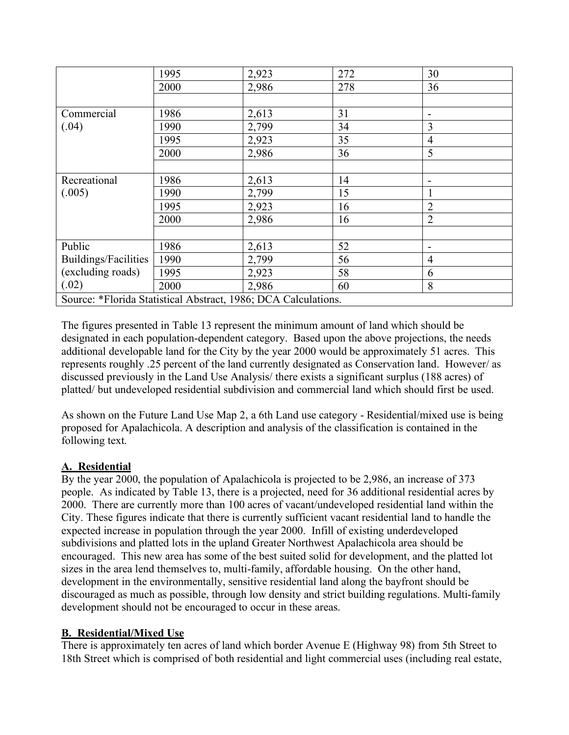|                                                                | 1995 | 2,923 | 272 | 30             |  |  |
|----------------------------------------------------------------|------|-------|-----|----------------|--|--|
|                                                                | 2000 | 2,986 | 278 | 36             |  |  |
|                                                                |      |       |     |                |  |  |
| Commercial                                                     | 1986 | 2,613 | 31  |                |  |  |
| (.04)                                                          | 1990 | 2,799 | 34  | 3              |  |  |
|                                                                | 1995 | 2,923 | 35  | 4              |  |  |
|                                                                | 2000 | 2,986 | 36  | 5              |  |  |
|                                                                |      |       |     |                |  |  |
| Recreational                                                   | 1986 | 2,613 | 14  |                |  |  |
| (.005)                                                         | 1990 | 2,799 | 15  |                |  |  |
|                                                                | 1995 | 2,923 | 16  | $\overline{2}$ |  |  |
|                                                                | 2000 | 2,986 | 16  | $\overline{2}$ |  |  |
|                                                                |      |       |     |                |  |  |
| Public                                                         | 1986 | 2,613 | 52  |                |  |  |
| Buildings/Facilities                                           | 1990 | 2,799 | 56  | $\overline{4}$ |  |  |
| (excluding roads)                                              | 1995 | 2,923 | 58  | 6              |  |  |
| (.02)                                                          | 2000 | 2,986 | 60  | 8              |  |  |
| Source: *Florida Statistical Abstract, 1986; DCA Calculations. |      |       |     |                |  |  |

The figures presented in Table 13 represent the minimum amount of land which should be designated in each population-dependent category. Based upon the above projections, the needs additional developable land for the City by the year 2000 would be approximately 51 acres. This represents roughly .25 percent of the land currently designated as Conservation land. However/ as discussed previously in the Land Use Analysis/ there exists a significant surplus (188 acres) of platted/ but undeveloped residential subdivision and commercial land which should first be used.

As shown on the Future Land Use Map 2, a 6th Land use category - Residential/mixed use is being proposed for Apalachicola. A description and analysis of the classification is contained in the following text.

# **A. Residential**

By the year 2000, the population of Apalachicola is projected to be 2,986, an increase of 373 people. As indicated by Table 13, there is a projected, need for 36 additional residential acres by 2000. There are currently more than 100 acres of vacant/undeveloped residential land within the City. These figures indicate that there is currently sufficient vacant residential land to handle the expected increase in population through the year 2000. Infill of existing underdeveloped subdivisions and platted lots in the upland Greater Northwest Apalachicola area should be encouraged. This new area has some of the best suited solid for development, and the platted lot sizes in the area lend themselves to, multi-family, affordable housing. On the other hand, development in the environmentally, sensitive residential land along the bayfront should be discouraged as much as possible, through low density and strict building regulations. Multi-family development should not be encouraged to occur in these areas.

### **B. Residential/Mixed Use**

There is approximately ten acres of land which border Avenue E (Highway 98) from 5th Street to 18th Street which is comprised of both residential and light commercial uses (including real estate,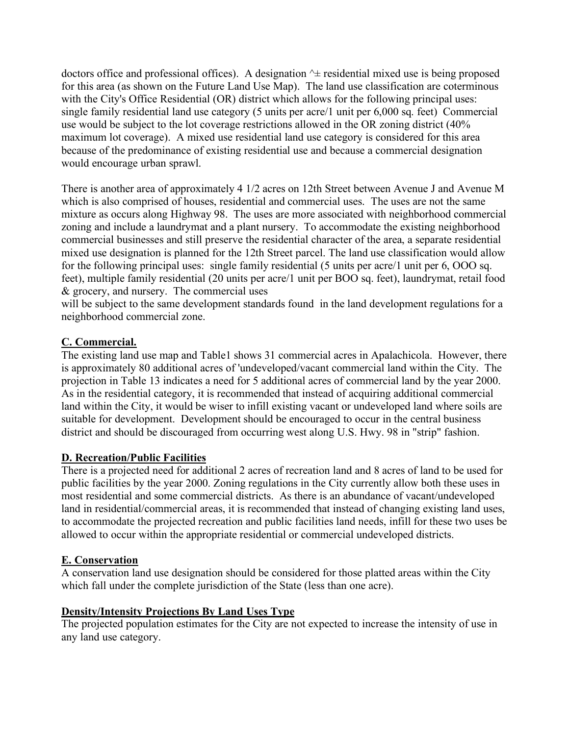doctors office and professional offices). A designation  $\uparrow \pm$  residential mixed use is being proposed for this area (as shown on the Future Land Use Map). The land use classification are coterminous with the City's Office Residential (OR) district which allows for the following principal uses: single family residential land use category (5 units per acre/1 unit per 6,000 sq. feet) Commercial use would be subject to the lot coverage restrictions allowed in the OR zoning district (40% maximum lot coverage). A mixed use residential land use category is considered for this area because of the predominance of existing residential use and because a commercial designation would encourage urban sprawl.

There is another area of approximately 4 1/2 acres on 12th Street between Avenue J and Avenue M which is also comprised of houses, residential and commercial uses. The uses are not the same mixture as occurs along Highway 98. The uses are more associated with neighborhood commercial zoning and include a laundrymat and a plant nursery. To accommodate the existing neighborhood commercial businesses and still preserve the residential character of the area, a separate residential mixed use designation is planned for the 12th Street parcel. The land use classification would allow for the following principal uses: single family residential (5 units per acre/1 unit per 6, OOO sq. feet), multiple family residential (20 units per acre/1 unit per BOO sq. feet), laundrymat, retail food & grocery, and nursery. The commercial uses

will be subject to the same development standards found in the land development regulations for a neighborhood commercial zone.

### **C. Commercial.**

The existing land use map and Table1 shows 31 commercial acres in Apalachicola. However, there is approximately 80 additional acres of 'undeveloped/vacant commercial land within the City. The projection in Table 13 indicates a need for 5 additional acres of commercial land by the year 2000. As in the residential category, it is recommended that instead of acquiring additional commercial land within the City, it would be wiser to infill existing vacant or undeveloped land where soils are suitable for development. Development should be encouraged to occur in the central business district and should be discouraged from occurring west along U.S. Hwy. 98 in "strip" fashion.

### **D. Recreation/Public Facilities**

There is a projected need for additional 2 acres of recreation land and 8 acres of land to be used for public facilities by the year 2000. Zoning regulations in the City currently allow both these uses in most residential and some commercial districts. As there is an abundance of vacant/undeveloped land in residential/commercial areas, it is recommended that instead of changing existing land uses, to accommodate the projected recreation and public facilities land needs, infill for these two uses be allowed to occur within the appropriate residential or commercial undeveloped districts.

### **E. Conservation**

A conservation land use designation should be considered for those platted areas within the City which fall under the complete jurisdiction of the State (less than one acre).

### **Density/Intensity Projections By Land Uses Type**

The projected population estimates for the City are not expected to increase the intensity of use in any land use category.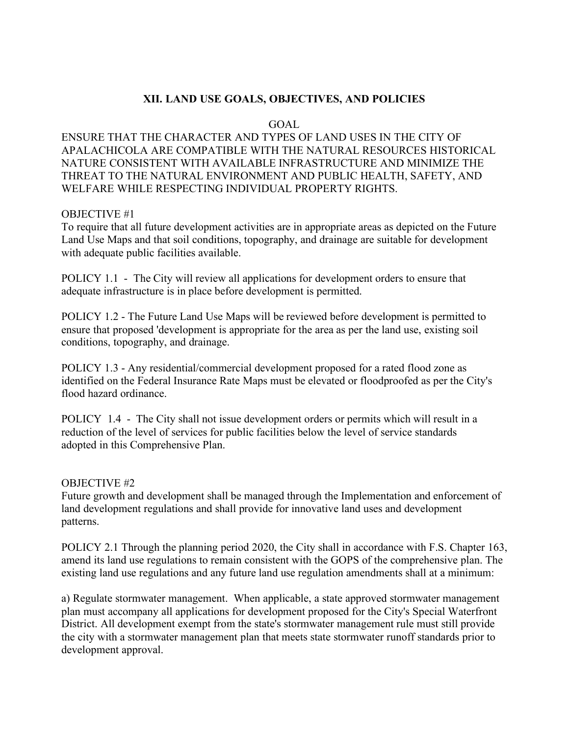### **XII. LAND USE GOALS, OBJECTIVES, AND POLICIES**

#### GOAL

ENSURE THAT THE CHARACTER AND TYPES OF LAND USES IN THE CITY OF APALACHICOLA ARE COMPATIBLE WITH THE NATURAL RESOURCES HISTORICAL NATURE CONSISTENT WITH AVAILABLE INFRASTRUCTURE AND MINIMIZE THE THREAT TO THE NATURAL ENVIRONMENT AND PUBLIC HEALTH, SAFETY, AND WELFARE WHILE RESPECTING INDIVIDUAL PROPERTY RIGHTS.

#### OBJECTIVE #1

To require that all future development activities are in appropriate areas as depicted on the Future Land Use Maps and that soil conditions, topography, and drainage are suitable for development with adequate public facilities available.

POLICY 1.1 - The City will review all applications for development orders to ensure that adequate infrastructure is in place before development is permitted.

POLICY 1.2 - The Future Land Use Maps will be reviewed before development is permitted to ensure that proposed 'development is appropriate for the area as per the land use, existing soil conditions, topography, and drainage.

POLICY 1.3 - Any residential/commercial development proposed for a rated flood zone as identified on the Federal Insurance Rate Maps must be elevated or floodproofed as per the City's flood hazard ordinance.

POLICY 1.4 - The City shall not issue development orders or permits which will result in a reduction of the level of services for public facilities below the level of service standards adopted in this Comprehensive Plan.

#### OBJECTIVE #2

Future growth and development shall be managed through the Implementation and enforcement of land development regulations and shall provide for innovative land uses and development patterns.

POLICY 2.1 Through the planning period 2020, the City shall in accordance with F.S. Chapter 163, amend its land use regulations to remain consistent with the GOPS of the comprehensive plan. The existing land use regulations and any future land use regulation amendments shall at a minimum:

a) Regulate stormwater management. When applicable, a state approved stormwater management plan must accompany all applications for development proposed for the City's Special Waterfront District. All development exempt from the state's stormwater management rule must still provide the city with a stormwater management plan that meets state stormwater runoff standards prior to development approval.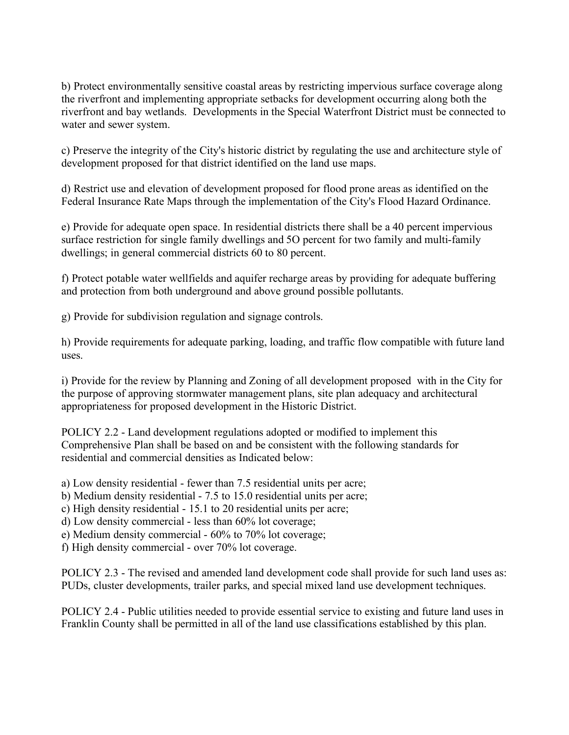b) Protect environmentally sensitive coastal areas by restricting impervious surface coverage along the riverfront and implementing appropriate setbacks for development occurring along both the riverfront and bay wetlands. Developments in the Special Waterfront District must be connected to water and sewer system.

c) Preserve the integrity of the City's historic district by regulating the use and architecture style of development proposed for that district identified on the land use maps.

d) Restrict use and elevation of development proposed for flood prone areas as identified on the Federal Insurance Rate Maps through the implementation of the City's Flood Hazard Ordinance.

e) Provide for adequate open space. In residential districts there shall be a 40 percent impervious surface restriction for single family dwellings and 5O percent for two family and multi-family dwellings; in general commercial districts 60 to 80 percent.

f) Protect potable water wellfields and aquifer recharge areas by providing for adequate buffering and protection from both underground and above ground possible pollutants.

g) Provide for subdivision regulation and signage controls.

h) Provide requirements for adequate parking, loading, and traffic flow compatible with future land uses.

i) Provide for the review by Planning and Zoning of all development proposed with in the City for the purpose of approving stormwater management plans, site plan adequacy and architectural appropriateness for proposed development in the Historic District.

POLICY 2.2 - Land development regulations adopted or modified to implement this Comprehensive Plan shall be based on and be consistent with the following standards for residential and commercial densities as Indicated below:

- a) Low density residential fewer than 7.5 residential units per acre;
- b) Medium density residential 7.5 to 15.0 residential units per acre;
- c) High density residential 15.1 to 20 residential units per acre;
- d) Low density commercial less than 60% lot coverage;
- e) Medium density commercial 60% to 70% lot coverage;
- f) High density commercial over 70% lot coverage.

POLICY 2.3 - The revised and amended land development code shall provide for such land uses as: PUDs, cluster developments, trailer parks, and special mixed land use development techniques.

POLICY 2.4 - Public utilities needed to provide essential service to existing and future land uses in Franklin County shall be permitted in all of the land use classifications established by this plan.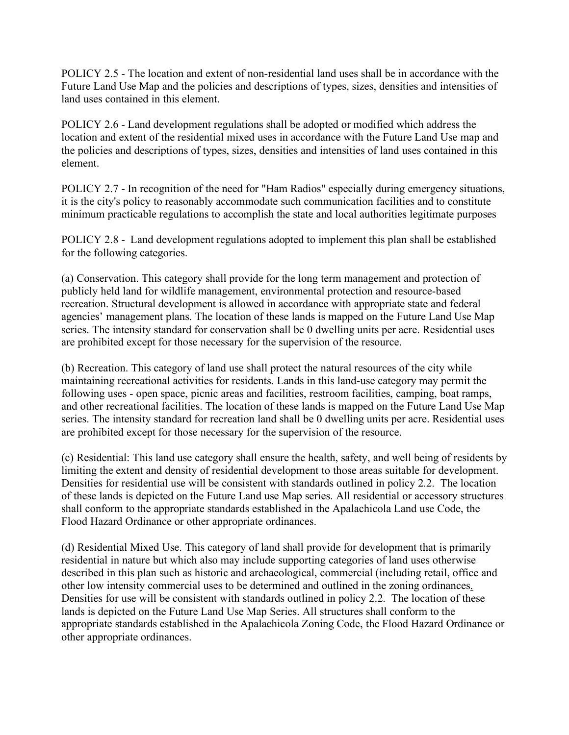POLICY 2.5 - The location and extent of non-residential land uses shall be in accordance with the Future Land Use Map and the policies and descriptions of types, sizes, densities and intensities of land uses contained in this element.

POLICY 2.6 - Land development regulations shall be adopted or modified which address the location and extent of the residential mixed uses in accordance with the Future Land Use map and the policies and descriptions of types, sizes, densities and intensities of land uses contained in this element.

POLICY 2.7 - In recognition of the need for "Ham Radios" especially during emergency situations, it is the city's policy to reasonably accommodate such communication facilities and to constitute minimum practicable regulations to accomplish the state and local authorities legitimate purposes

POLICY 2.8 - Land development regulations adopted to implement this plan shall be established for the following categories.

(a) Conservation. This category shall provide for the long term management and protection of publicly held land for wildlife management, environmental protection and resource-based recreation. Structural development is allowed in accordance with appropriate state and federal agencies' management plans. The location of these lands is mapped on the Future Land Use Map series. The intensity standard for conservation shall be 0 dwelling units per acre. Residential uses are prohibited except for those necessary for the supervision of the resource.

(b) Recreation. This category of land use shall protect the natural resources of the city while maintaining recreational activities for residents. Lands in this land-use category may permit the following uses - open space, picnic areas and facilities, restroom facilities, camping, boat ramps, and other recreational facilities. The location of these lands is mapped on the Future Land Use Map series. The intensity standard for recreation land shall be 0 dwelling units per acre. Residential uses are prohibited except for those necessary for the supervision of the resource.

(c) Residential: This land use category shall ensure the health, safety, and well being of residents by limiting the extent and density of residential development to those areas suitable for development. Densities for residential use will be consistent with standards outlined in policy 2.2. The location of these lands is depicted on the Future Land use Map series. All residential or accessory structures shall conform to the appropriate standards established in the Apalachicola Land use Code, the Flood Hazard Ordinance or other appropriate ordinances.

(d) Residential Mixed Use. This category of land shall provide for development that is primarily residential in nature but which also may include supporting categories of land uses otherwise described in this plan such as historic and archaeological, commercial (including retail, office and other low intensity commercial uses to be determined and outlined in the zoning ordinances. Densities for use will be consistent with standards outlined in policy 2.2. The location of these lands is depicted on the Future Land Use Map Series. All structures shall conform to the appropriate standards established in the Apalachicola Zoning Code, the Flood Hazard Ordinance or other appropriate ordinances.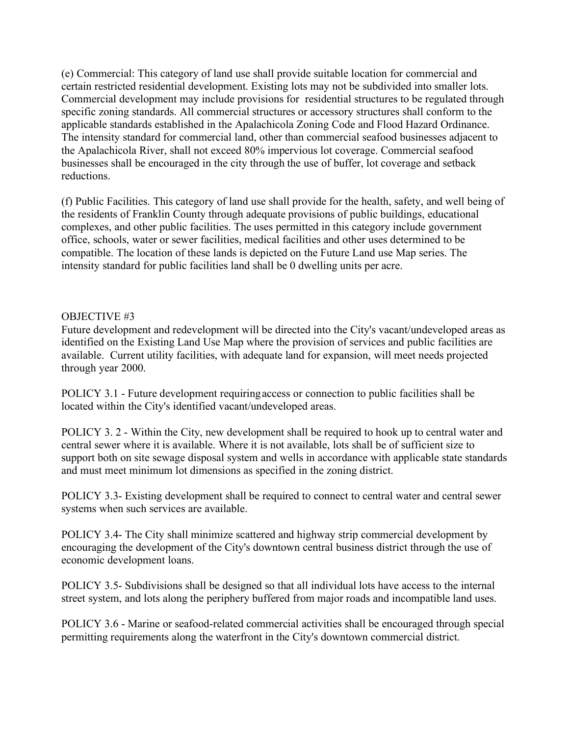(e) Commercial: This category of land use shall provide suitable location for commercial and certain restricted residential development. Existing lots may not be subdivided into smaller lots. Commercial development may include provisions for residential structures to be regulated through specific zoning standards. All commercial structures or accessory structures shall conform to the applicable standards established in the Apalachicola Zoning Code and Flood Hazard Ordinance. The intensity standard for commercial land, other than commercial seafood businesses adjacent to the Apalachicola River, shall not exceed 80% impervious lot coverage. Commercial seafood businesses shall be encouraged in the city through the use of buffer, lot coverage and setback reductions.

(f) Public Facilities. This category of land use shall provide for the health, safety, and well being of the residents of Franklin County through adequate provisions of public buildings, educational complexes, and other public facilities. The uses permitted in this category include government office, schools, water or sewer facilities, medical facilities and other uses determined to be compatible. The location of these lands is depicted on the Future Land use Map series. The intensity standard for public facilities land shall be 0 dwelling units per acre.

#### OBJECTIVE #3

Future development and redevelopment will be directed into the City's vacant/undeveloped areas as identified on the Existing Land Use Map where the provision of services and public facilities are available. Current utility facilities, with adequate land for expansion, will meet needs projected through year 2000.

POLICY 3.1 - Future development requiringaccess or connection to public facilities shall be located within the City's identified vacant/undeveloped areas.

POLICY 3. 2 - Within the City, new development shall be required to hook up to central water and central sewer where it is available. Where it is not available, lots shall be of sufficient size to support both on site sewage disposal system and wells in accordance with applicable state standards and must meet minimum lot dimensions as specified in the zoning district.

POLICY 3.3- Existing development shall be required to connect to central water and central sewer systems when such services are available.

POLICY 3.4- The City shall minimize scattered and highway strip commercial development by encouraging the development of the City's downtown central business district through the use of economic development loans.

POLICY 3.5- Subdivisions shall be designed so that all individual lots have access to the internal street system, and lots along the periphery buffered from major roads and incompatible land uses.

POLICY 3.6 - Marine or seafood-related commercial activities shall be encouraged through special permitting requirements along the waterfront in the City's downtown commercial district.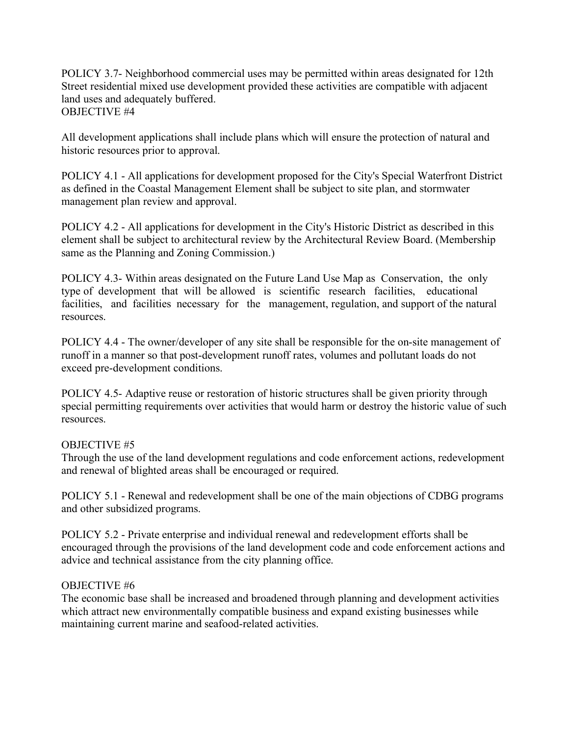POLICY 3.7- Neighborhood commercial uses may be permitted within areas designated for 12th Street residential mixed use development provided these activities are compatible with adjacent land uses and adequately buffered. OBJECTIVE #4

All development applications shall include plans which will ensure the protection of natural and historic resources prior to approval.

POLICY 4.1 - All applications for development proposed for the City's Special Waterfront District as defined in the Coastal Management Element shall be subject to site plan, and stormwater management plan review and approval.

POLICY 4.2 - All applications for development in the City's Historic District as described in this element shall be subject to architectural review by the Architectural Review Board. (Membership same as the Planning and Zoning Commission.)

POLICY 4.3- Within areas designated on the Future Land Use Map as Conservation, the only type of development that will be allowed is scientific research facilities, educational facilities, and facilities necessary for the management, regulation, and support of the natural resources.

POLICY 4.4 - The owner/developer of any site shall be responsible for the on-site management of runoff in a manner so that post-development runoff rates, volumes and pollutant loads do not exceed pre-development conditions.

POLICY 4.5- Adaptive reuse or restoration of historic structures shall be given priority through special permitting requirements over activities that would harm or destroy the historic value of such resources.

### OBJECTIVE #5

Through the use of the land development regulations and code enforcement actions, redevelopment and renewal of blighted areas shall be encouraged or required.

POLICY 5.1 - Renewal and redevelopment shall be one of the main objections of CDBG programs and other subsidized programs.

POLICY 5.2 - Private enterprise and individual renewal and redevelopment efforts shall be encouraged through the provisions of the land development code and code enforcement actions and advice and technical assistance from the city planning office.

#### OBJECTIVE #6

The economic base shall be increased and broadened through planning and development activities which attract new environmentally compatible business and expand existing businesses while maintaining current marine and seafood-related activities.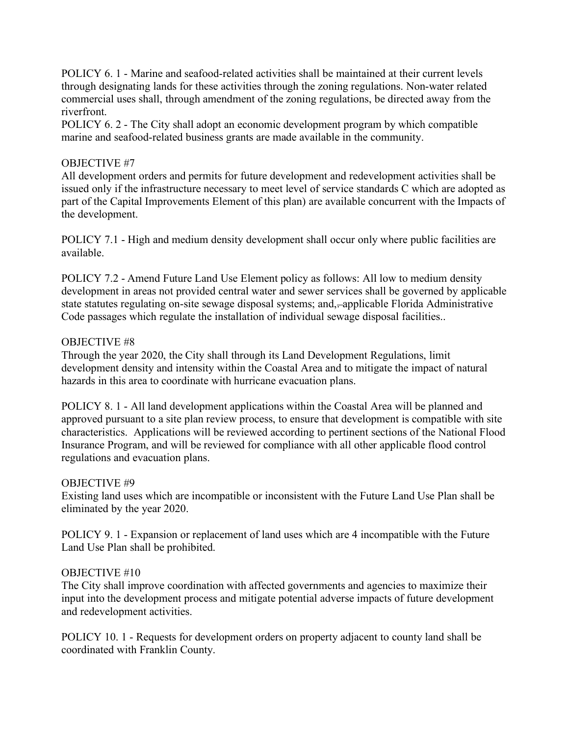POLICY 6. 1 - Marine and seafood-related activities shall be maintained at their current levels through designating lands for these activities through the zoning regulations. Non-water related commercial uses shall, through amendment of the zoning regulations, be directed away from the riverfront.

POLICY 6. 2 - The City shall adopt an economic development program by which compatible marine and seafood-related business grants are made available in the community.

### OBJECTIVE #7

All development orders and permits for future development and redevelopment activities shall be issued only if the infrastructure necessary to meet level of service standards C which are adopted as part of the Capital Improvements Element of this plan) are available concurrent with the Impacts of the development.

POLICY 7.1 - High and medium density development shall occur only where public facilities are available.

POLICY 7.2 - Amend Future Land Use Element policy as follows: All low to medium density development in areas not provided central water and sewer services shall be governed by applicable state statutes regulating on-site sewage disposal systems; and, -applicable Florida Administrative Code passages which regulate the installation of individual sewage disposal facilities..

### OBJECTIVE #8

Through the year 2020, the City shall through its Land Development Regulations, limit development density and intensity within the Coastal Area and to mitigate the impact of natural hazards in this area to coordinate with hurricane evacuation plans.

POLICY 8. 1 - All land development applications within the Coastal Area will be planned and approved pursuant to a site plan review process, to ensure that development is compatible with site characteristics. Applications will be reviewed according to pertinent sections of the National Flood Insurance Program, and will be reviewed for compliance with all other applicable flood control regulations and evacuation plans.

# OBJECTIVE #9

Existing land uses which are incompatible or inconsistent with the Future Land Use Plan shall be eliminated by the year 2020.

POLICY 9. 1 - Expansion or replacement of land uses which are 4 incompatible with the Future Land Use Plan shall be prohibited.

# OBJECTIVE #10

The City shall improve coordination with affected governments and agencies to maximize their input into the development process and mitigate potential adverse impacts of future development and redevelopment activities.

POLICY 10. 1 - Requests for development orders on property adjacent to county land shall be coordinated with Franklin County.